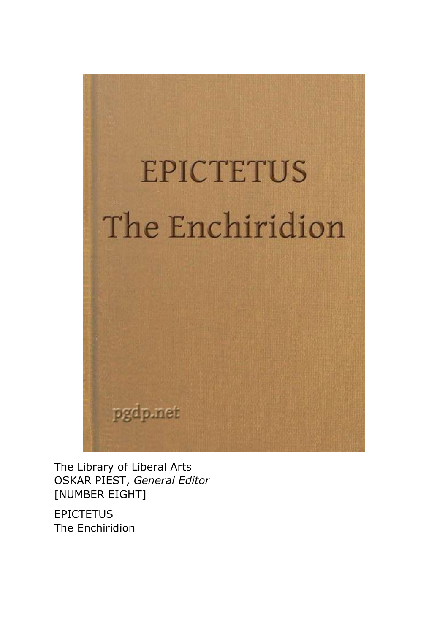

The Library of Liberal Arts OSKAR PIEST, *General Editor* [NUMBER EIGHT]

**EPICTETUS** The Enchiridion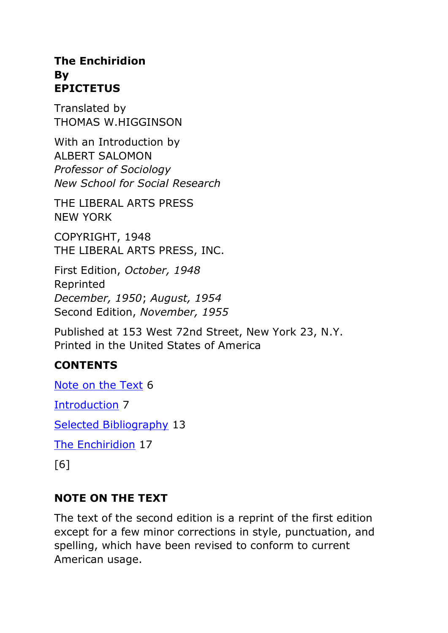#### **The Enchiridion By EPICTETUS**

Translated by THOMAS W.HIGGINSON

With an Introduction by ALBERT SALOMON *Professor of Sociology New School for Social Research*

THE LIBERAL ARTS PRESS NEW YORK

COPYRIGHT, 1948 THE LIBERAL ARTS PRESS, INC.

First Edition, *October, 1948* Reprinted *December, 1950*; *August, 1954* Second Edition, *November, 1955*

Published at 153 West 72nd Street, New York 23, N.Y. Printed in the United States of America

### **CONTENTS**

[Note on the Text](https://www.gutenberg.org/files/45109/45109-h/45109-h.htm#c1) 6

[Introduction](https://www.gutenberg.org/files/45109/45109-h/45109-h.htm#c2) 7

[Selected Bibliography](https://www.gutenberg.org/files/45109/45109-h/45109-h.htm#c3) 13

[The Enchiridion](https://www.gutenberg.org/files/45109/45109-h/45109-h.htm#c4) 17

[6]

#### **NOTE ON THE TEXT**

The text of the second edition is a reprint of the first edition except for a few minor corrections in style, punctuation, and spelling, which have been revised to conform to current American usage.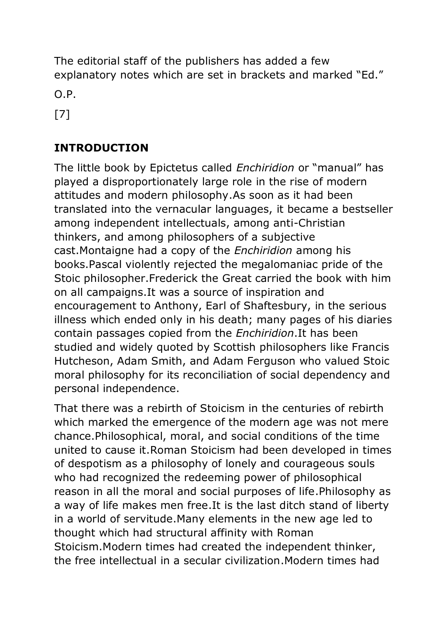The editorial staff of the publishers has added a few explanatory notes which are set in brackets and marked "Ed."

O.P.

[7]

## **INTRODUCTION**

The little book by Epictetus called *Enchiridion* or "manual" has played a disproportionately large role in the rise of modern attitudes and modern philosophy.As soon as it had been translated into the vernacular languages, it became a bestseller among independent intellectuals, among anti-Christian thinkers, and among philosophers of a subjective cast.Montaigne had a copy of the *Enchiridion* among his books.Pascal violently rejected the megalomaniac pride of the Stoic philosopher.Frederick the Great carried the book with him on all campaigns.It was a source of inspiration and encouragement to Anthony, Earl of Shaftesbury, in the serious illness which ended only in his death; many pages of his diaries contain passages copied from the *Enchiridion*.It has been studied and widely quoted by Scottish philosophers like Francis Hutcheson, Adam Smith, and Adam Ferguson who valued Stoic moral philosophy for its reconciliation of social dependency and personal independence.

That there was a rebirth of Stoicism in the centuries of rebirth which marked the emergence of the modern age was not mere chance.Philosophical, moral, and social conditions of the time united to cause it.Roman Stoicism had been developed in times of despotism as a philosophy of lonely and courageous souls who had recognized the redeeming power of philosophical reason in all the moral and social purposes of life.Philosophy as a way of life makes men free.It is the last ditch stand of liberty in a world of servitude.Many elements in the new age led to thought which had structural affinity with Roman Stoicism.Modern times had created the independent thinker, the free intellectual in a secular civilization.Modern times had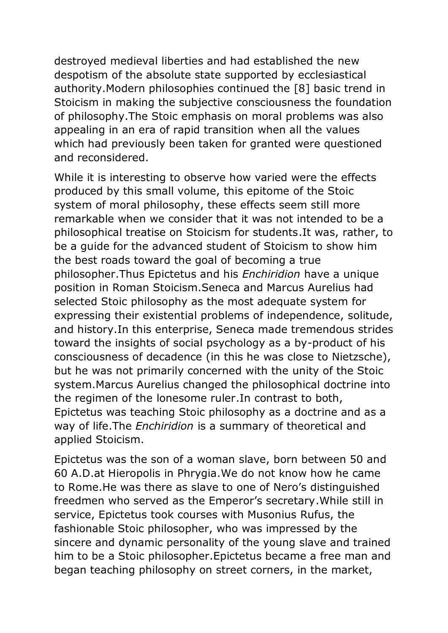destroyed medieval liberties and had established the new despotism of the absolute state supported by ecclesiastical authority.Modern philosophies continued the [8] basic trend in Stoicism in making the subjective consciousness the foundation of philosophy.The Stoic emphasis on moral problems was also appealing in an era of rapid transition when all the values which had previously been taken for granted were questioned and reconsidered.

While it is interesting to observe how varied were the effects produced by this small volume, this epitome of the Stoic system of moral philosophy, these effects seem still more remarkable when we consider that it was not intended to be a philosophical treatise on Stoicism for students.It was, rather, to be a guide for the advanced student of Stoicism to show him the best roads toward the goal of becoming a true philosopher.Thus Epictetus and his *Enchiridion* have a unique position in Roman Stoicism.Seneca and Marcus Aurelius had selected Stoic philosophy as the most adequate system for expressing their existential problems of independence, solitude, and history.In this enterprise, Seneca made tremendous strides toward the insights of social psychology as a by-product of his consciousness of decadence (in this he was close to Nietzsche), but he was not primarily concerned with the unity of the Stoic system.Marcus Aurelius changed the philosophical doctrine into the regimen of the lonesome ruler.In contrast to both, Epictetus was teaching Stoic philosophy as a doctrine and as a way of life.The *Enchiridion* is a summary of theoretical and applied Stoicism.

Epictetus was the son of a woman slave, born between 50 and 60 A.D.at Hieropolis in Phrygia.We do not know how he came to Rome.He was there as slave to one of Nero's distinguished freedmen who served as the Emperor's secretary.While still in service, Epictetus took courses with Musonius Rufus, the fashionable Stoic philosopher, who was impressed by the sincere and dynamic personality of the young slave and trained him to be a Stoic philosopher.Epictetus became a free man and began teaching philosophy on street corners, in the market,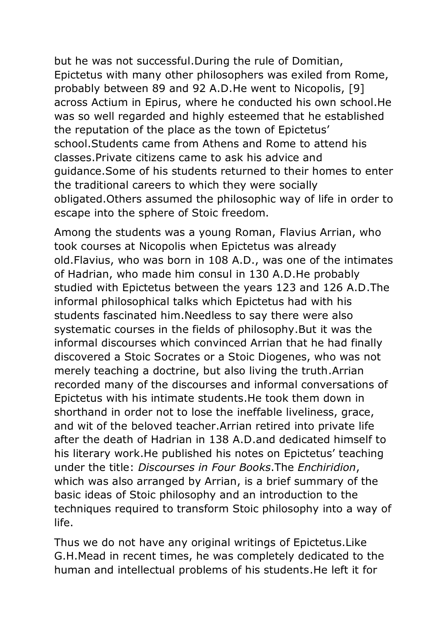but he was not successful.During the rule of Domitian, Epictetus with many other philosophers was exiled from Rome, probably between 89 and 92 A.D.He went to Nicopolis, [9] across Actium in Epirus, where he conducted his own school.He was so well regarded and highly esteemed that he established the reputation of the place as the town of Epictetus' school.Students came from Athens and Rome to attend his classes.Private citizens came to ask his advice and guidance.Some of his students returned to their homes to enter the traditional careers to which they were socially obligated.Others assumed the philosophic way of life in order to escape into the sphere of Stoic freedom.

Among the students was a young Roman, Flavius Arrian, who took courses at Nicopolis when Epictetus was already old.Flavius, who was born in 108 A.D., was one of the intimates of Hadrian, who made him consul in 130 A.D.He probably studied with Epictetus between the years 123 and 126 A.D.The informal philosophical talks which Epictetus had with his students fascinated him.Needless to say there were also systematic courses in the fields of philosophy.But it was the informal discourses which convinced Arrian that he had finally discovered a Stoic Socrates or a Stoic Diogenes, who was not merely teaching a doctrine, but also living the truth.Arrian recorded many of the discourses and informal conversations of Epictetus with his intimate students.He took them down in shorthand in order not to lose the ineffable liveliness, grace, and wit of the beloved teacher.Arrian retired into private life after the death of Hadrian in 138 A.D.and dedicated himself to his literary work.He published his notes on Epictetus' teaching under the title: *Discourses in Four Books*.The *Enchiridion*, which was also arranged by Arrian, is a brief summary of the basic ideas of Stoic philosophy and an introduction to the techniques required to transform Stoic philosophy into a way of life.

Thus we do not have any original writings of Epictetus.Like G.H.Mead in recent times, he was completely dedicated to the human and intellectual problems of his students.He left it for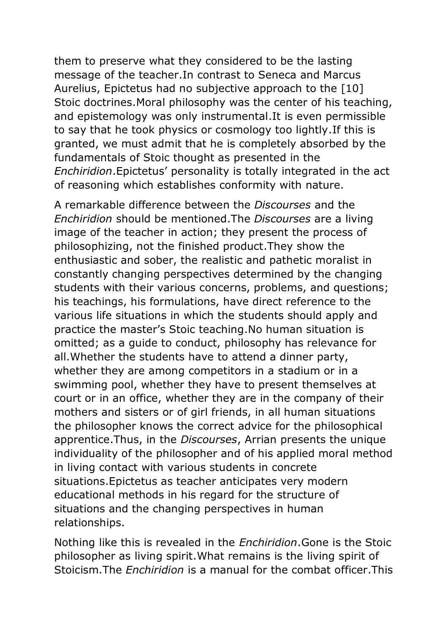them to preserve what they considered to be the lasting message of the teacher.In contrast to Seneca and Marcus Aurelius, Epictetus had no subjective approach to the [10] Stoic doctrines.Moral philosophy was the center of his teaching, and epistemology was only instrumental.It is even permissible to say that he took physics or cosmology too lightly.If this is granted, we must admit that he is completely absorbed by the fundamentals of Stoic thought as presented in the *Enchiridion*.Epictetus' personality is totally integrated in the act of reasoning which establishes conformity with nature.

A remarkable difference between the *Discourses* and the *Enchiridion* should be mentioned.The *Discourses* are a living image of the teacher in action; they present the process of philosophizing, not the finished product.They show the enthusiastic and sober, the realistic and pathetic moralist in constantly changing perspectives determined by the changing students with their various concerns, problems, and questions; his teachings, his formulations, have direct reference to the various life situations in which the students should apply and practice the master's Stoic teaching.No human situation is omitted; as a guide to conduct, philosophy has relevance for all.Whether the students have to attend a dinner party, whether they are among competitors in a stadium or in a swimming pool, whether they have to present themselves at court or in an office, whether they are in the company of their mothers and sisters or of girl friends, in all human situations the philosopher knows the correct advice for the philosophical apprentice.Thus, in the *Discourses*, Arrian presents the unique individuality of the philosopher and of his applied moral method in living contact with various students in concrete situations.Epictetus as teacher anticipates very modern educational methods in his regard for the structure of situations and the changing perspectives in human relationships.

Nothing like this is revealed in the *Enchiridion*.Gone is the Stoic philosopher as living spirit.What remains is the living spirit of Stoicism.The *Enchiridion* is a manual for the combat officer.This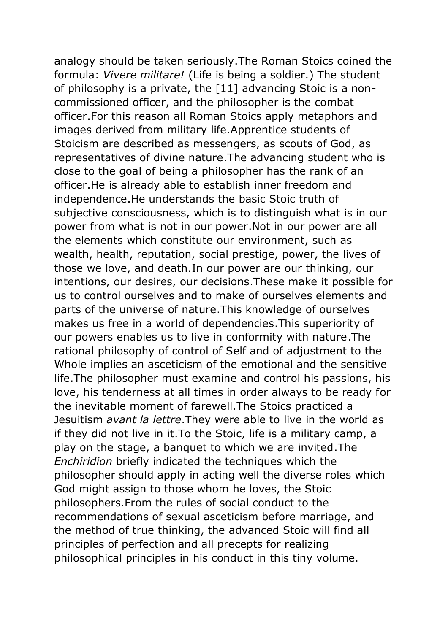analogy should be taken seriously.The Roman Stoics coined the formula: *Vivere militare!* (Life is being a soldier.) The student of philosophy is a private, the [11] advancing Stoic is a noncommissioned officer, and the philosopher is the combat officer.For this reason all Roman Stoics apply metaphors and images derived from military life.Apprentice students of Stoicism are described as messengers, as scouts of God, as representatives of divine nature.The advancing student who is close to the goal of being a philosopher has the rank of an officer.He is already able to establish inner freedom and independence.He understands the basic Stoic truth of subjective consciousness, which is to distinguish what is in our power from what is not in our power.Not in our power are all the elements which constitute our environment, such as wealth, health, reputation, social prestige, power, the lives of those we love, and death.In our power are our thinking, our intentions, our desires, our decisions.These make it possible for us to control ourselves and to make of ourselves elements and parts of the universe of nature.This knowledge of ourselves makes us free in a world of dependencies.This superiority of our powers enables us to live in conformity with nature.The rational philosophy of control of Self and of adjustment to the Whole implies an asceticism of the emotional and the sensitive life.The philosopher must examine and control his passions, his love, his tenderness at all times in order always to be ready for the inevitable moment of farewell.The Stoics practiced a Jesuitism *avant la lettre*.They were able to live in the world as if they did not live in it.To the Stoic, life is a military camp, a play on the stage, a banquet to which we are invited.The *Enchiridion* briefly indicated the techniques which the philosopher should apply in acting well the diverse roles which God might assign to those whom he loves, the Stoic philosophers.From the rules of social conduct to the recommendations of sexual asceticism before marriage, and the method of true thinking, the advanced Stoic will find all principles of perfection and all precepts for realizing philosophical principles in his conduct in this tiny volume.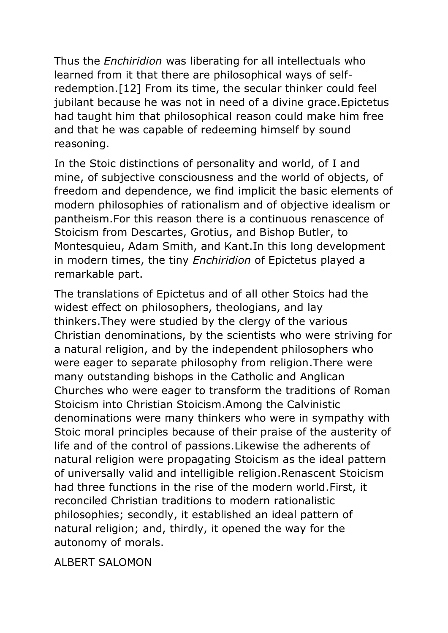Thus the *Enchiridion* was liberating for all intellectuals who learned from it that there are philosophical ways of selfredemption.[12] From its time, the secular thinker could feel jubilant because he was not in need of a divine grace.Epictetus had taught him that philosophical reason could make him free and that he was capable of redeeming himself by sound reasoning.

In the Stoic distinctions of personality and world, of I and mine, of subjective consciousness and the world of objects, of freedom and dependence, we find implicit the basic elements of modern philosophies of rationalism and of objective idealism or pantheism.For this reason there is a continuous renascence of Stoicism from Descartes, Grotius, and Bishop Butler, to Montesquieu, Adam Smith, and Kant.In this long development in modern times, the tiny *Enchiridion* of Epictetus played a remarkable part.

The translations of Epictetus and of all other Stoics had the widest effect on philosophers, theologians, and lay thinkers.They were studied by the clergy of the various Christian denominations, by the scientists who were striving for a natural religion, and by the independent philosophers who were eager to separate philosophy from religion.There were many outstanding bishops in the Catholic and Anglican Churches who were eager to transform the traditions of Roman Stoicism into Christian Stoicism.Among the Calvinistic denominations were many thinkers who were in sympathy with Stoic moral principles because of their praise of the austerity of life and of the control of passions.Likewise the adherents of natural religion were propagating Stoicism as the ideal pattern of universally valid and intelligible religion.Renascent Stoicism had three functions in the rise of the modern world.First, it reconciled Christian traditions to modern rationalistic philosophies; secondly, it established an ideal pattern of natural religion; and, thirdly, it opened the way for the autonomy of morals.

**AI BERT SALOMON**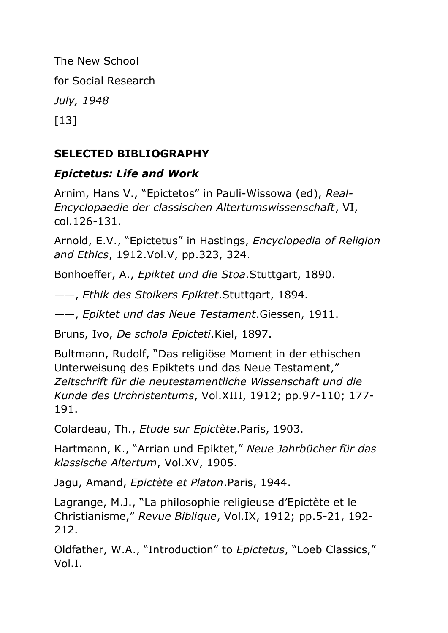The New School for Social Research *July, 1948* [13]

### **SELECTED BIBLIOGRAPHY**

### *Epictetus: Life and Work*

Arnim, Hans V., "Epictetos" in Pauli-Wissowa (ed), *Real-Encyclopaedie der classischen Altertumswissenschaft*, VI, col.126-131.

Arnold, E.V., "Epictetus" in Hastings, *Encyclopedia of Religion and Ethics*, 1912.Vol.V, pp.323, 324.

Bonhoeffer, A., *Epiktet und die Stoa*.Stuttgart, 1890.

——, *Ethik des Stoikers Epiktet*.Stuttgart, 1894.

——, *Epiktet und das Neue Testament*.Giessen, 1911.

Bruns, Ivo, *De schola Epicteti*.Kiel, 1897.

Bultmann, Rudolf, "Das religiöse Moment in der ethischen Unterweisung des Epiktets und das Neue Testament," *Zeitschrift für die neutestamentliche Wissenschaft und die Kunde des Urchristentums*, Vol.XIII, 1912; pp.97-110; 177- 191.

Colardeau, Th., *Etude sur Epictète*.Paris, 1903.

Hartmann, K., "Arrian und Epiktet," *Neue Jahrbücher für das klassische Altertum*, Vol.XV, 1905.

Jagu, Amand, *Epictète et Platon*.Paris, 1944.

Lagrange, M.J., "La philosophie religieuse d'Epictète et le Christianisme," *Revue Biblique*, Vol.IX, 1912; pp.5-21, 192- 212.

Oldfather, W.A., "Introduction" to *Epictetus*, "Loeb Classics," Vol.I.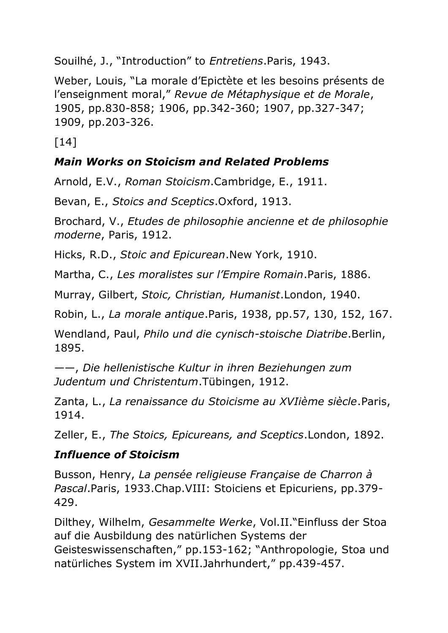Souilhé, J., "Introduction" to *Entretiens*.Paris, 1943.

Weber, Louis, "La morale d'Epictète et les besoins présents de l'enseignment moral," *Revue de Métaphysique et de Morale*, 1905, pp.830-858; 1906, pp.342-360; 1907, pp.327-347; 1909, pp.203-326.

 $[14]$ 

#### *Main Works on Stoicism and Related Problems*

Arnold, E.V., *Roman Stoicism*.Cambridge, E., 1911.

Bevan, E., *Stoics and Sceptics*.Oxford, 1913.

Brochard, V., *Etudes de philosophie ancienne et de philosophie moderne*, Paris, 1912.

Hicks, R.D., *Stoic and Epicurean*.New York, 1910.

Martha, C., *Les moralistes sur l'Empire Romain*.Paris, 1886.

Murray, Gilbert, *Stoic, Christian, Humanist*.London, 1940.

Robin, L., *La morale antique*.Paris, 1938, pp.57, 130, 152, 167.

Wendland, Paul, *Philo und die cynisch-stoische Diatribe*.Berlin, 1895.

——, *Die hellenistische Kultur in ihren Beziehungen zum Judentum und Christentum*.Tübingen, 1912.

Zanta, L., *La renaissance du Stoicisme au XVIième siècle*.Paris, 1914.

Zeller, E., *The Stoics, Epicureans, and Sceptics*.London, 1892.

### *Influence of Stoicism*

Busson, Henry, *La pensée religieuse Française de Charron à Pascal*.Paris, 1933.Chap.VIII: Stoiciens et Epicuriens, pp.379- 429.

Dilthey, Wilhelm, *Gesammelte Werke*, Vol.II."Einfluss der Stoa auf die Ausbildung des natürlichen Systems der Geisteswissenschaften," pp.153-162; "Anthropologie, Stoa und natürliches System im XVII.Jahrhundert," pp.439-457.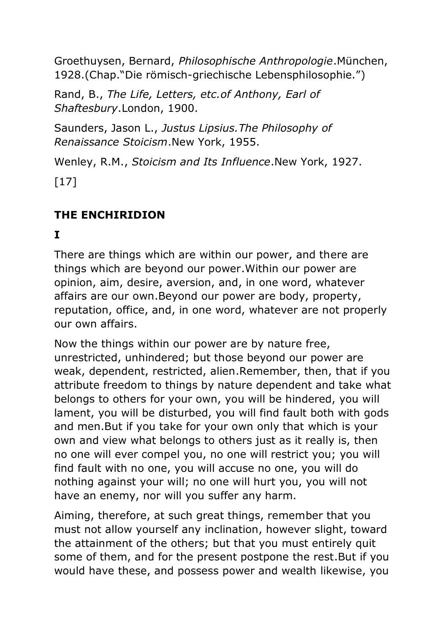Groethuysen, Bernard, *Philosophische Anthropologie*.München, 1928.(Chap."Die römisch-griechische Lebensphilosophie.")

Rand, B., *The Life, Letters, etc.of Anthony, Earl of Shaftesbury*.London, 1900.

Saunders, Jason L., *Justus Lipsius.The Philosophy of Renaissance Stoicism*.New York, 1955.

Wenley, R.M., *Stoicism and Its Influence*.New York, 1927.

 $[17]$ 

## **THE ENCHIRIDION**

**I**

There are things which are within our power, and there are things which are beyond our power.Within our power are opinion, aim, desire, aversion, and, in one word, whatever affairs are our own.Beyond our power are body, property, reputation, office, and, in one word, whatever are not properly our own affairs.

Now the things within our power are by nature free, unrestricted, unhindered; but those beyond our power are weak, dependent, restricted, alien.Remember, then, that if you attribute freedom to things by nature dependent and take what belongs to others for your own, you will be hindered, you will lament, you will be disturbed, you will find fault both with gods and men.But if you take for your own only that which is your own and view what belongs to others just as it really is, then no one will ever compel you, no one will restrict you; you will find fault with no one, you will accuse no one, you will do nothing against your will; no one will hurt you, you will not have an enemy, nor will you suffer any harm.

Aiming, therefore, at such great things, remember that you must not allow yourself any inclination, however slight, toward the attainment of the others; but that you must entirely quit some of them, and for the present postpone the rest.But if you would have these, and possess power and wealth likewise, you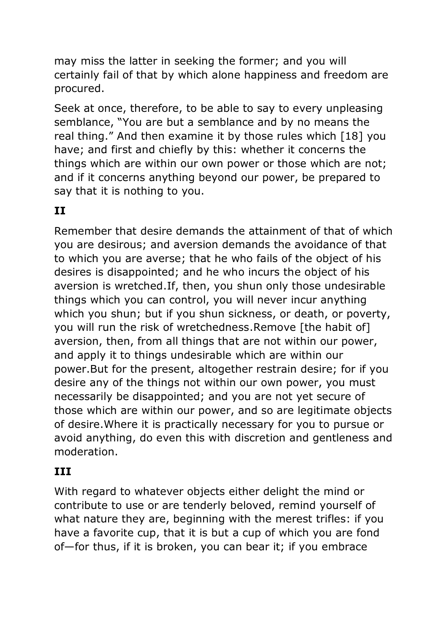may miss the latter in seeking the former; and you will certainly fail of that by which alone happiness and freedom are procured.

Seek at once, therefore, to be able to say to every unpleasing semblance, "You are but a semblance and by no means the real thing." And then examine it by those rules which [18] you have; and first and chiefly by this: whether it concerns the things which are within our own power or those which are not; and if it concerns anything beyond our power, be prepared to say that it is nothing to you.

## **II**

Remember that desire demands the attainment of that of which you are desirous; and aversion demands the avoidance of that to which you are averse; that he who fails of the object of his desires is disappointed; and he who incurs the object of his aversion is wretched.If, then, you shun only those undesirable things which you can control, you will never incur anything which you shun; but if you shun sickness, or death, or poverty, you will run the risk of wretchedness.Remove [the habit of] aversion, then, from all things that are not within our power, and apply it to things undesirable which are within our power.But for the present, altogether restrain desire; for if you desire any of the things not within our own power, you must necessarily be disappointed; and you are not yet secure of those which are within our power, and so are legitimate objects of desire.Where it is practically necessary for you to pursue or avoid anything, do even this with discretion and gentleness and moderation.

#### **III**

With regard to whatever objects either delight the mind or contribute to use or are tenderly beloved, remind yourself of what nature they are, beginning with the merest trifles: if you have a favorite cup, that it is but a cup of which you are fond of—for thus, if it is broken, you can bear it; if you embrace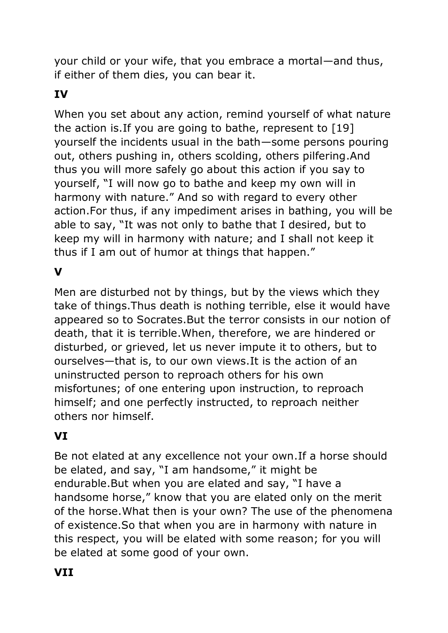your child or your wife, that you embrace a mortal—and thus, if either of them dies, you can bear it.

### **IV**

When you set about any action, remind yourself of what nature the action is.If you are going to bathe, represent to [19] yourself the incidents usual in the bath—some persons pouring out, others pushing in, others scolding, others pilfering.And thus you will more safely go about this action if you say to yourself, "I will now go to bathe and keep my own will in harmony with nature." And so with regard to every other action.For thus, if any impediment arises in bathing, you will be able to say, "It was not only to bathe that I desired, but to keep my will in harmony with nature; and I shall not keep it thus if I am out of humor at things that happen."

#### **V**

Men are disturbed not by things, but by the views which they take of things.Thus death is nothing terrible, else it would have appeared so to Socrates.But the terror consists in our notion of death, that it is terrible.When, therefore, we are hindered or disturbed, or grieved, let us never impute it to others, but to ourselves—that is, to our own views.It is the action of an uninstructed person to reproach others for his own misfortunes; of one entering upon instruction, to reproach himself; and one perfectly instructed, to reproach neither others nor himself.

### **VI**

Be not elated at any excellence not your own.If a horse should be elated, and say, "I am handsome," it might be endurable.But when you are elated and say, "I have a handsome horse," know that you are elated only on the merit of the horse.What then is your own? The use of the phenomena of existence.So that when you are in harmony with nature in this respect, you will be elated with some reason; for you will be elated at some good of your own.

#### **VII**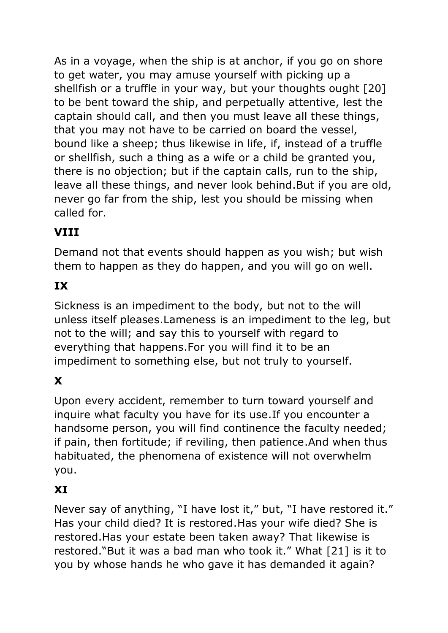As in a voyage, when the ship is at anchor, if you go on shore to get water, you may amuse yourself with picking up a shellfish or a truffle in your way, but your thoughts ought [20] to be bent toward the ship, and perpetually attentive, lest the captain should call, and then you must leave all these things, that you may not have to be carried on board the vessel, bound like a sheep; thus likewise in life, if, instead of a truffle or shellfish, such a thing as a wife or a child be granted you, there is no objection; but if the captain calls, run to the ship, leave all these things, and never look behind.But if you are old, never go far from the ship, lest you should be missing when called for.

# **VIII**

Demand not that events should happen as you wish; but wish them to happen as they do happen, and you will go on well.

## **IX**

Sickness is an impediment to the body, but not to the will unless itself pleases.Lameness is an impediment to the leg, but not to the will; and say this to yourself with regard to everything that happens.For you will find it to be an impediment to something else, but not truly to yourself.

# **X**

Upon every accident, remember to turn toward yourself and inquire what faculty you have for its use.If you encounter a handsome person, you will find continence the faculty needed; if pain, then fortitude; if reviling, then patience.And when thus habituated, the phenomena of existence will not overwhelm you.

### **XI**

Never say of anything, "I have lost it," but, "I have restored it." Has your child died? It is restored.Has your wife died? She is restored.Has your estate been taken away? That likewise is restored."But it was a bad man who took it." What [21] is it to you by whose hands he who gave it has demanded it again?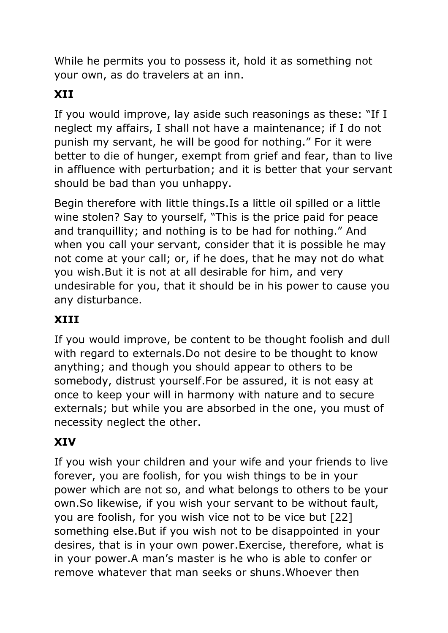While he permits you to possess it, hold it as something not your own, as do travelers at an inn.

## **XII**

If you would improve, lay aside such reasonings as these: "If I neglect my affairs, I shall not have a maintenance; if I do not punish my servant, he will be good for nothing." For it were better to die of hunger, exempt from grief and fear, than to live in affluence with perturbation; and it is better that your servant should be bad than you unhappy.

Begin therefore with little things.Is a little oil spilled or a little wine stolen? Say to yourself, "This is the price paid for peace and tranquillity; and nothing is to be had for nothing." And when you call your servant, consider that it is possible he may not come at your call; or, if he does, that he may not do what you wish.But it is not at all desirable for him, and very undesirable for you, that it should be in his power to cause you any disturbance.

#### **XIII**

If you would improve, be content to be thought foolish and dull with regard to externals.Do not desire to be thought to know anything; and though you should appear to others to be somebody, distrust yourself.For be assured, it is not easy at once to keep your will in harmony with nature and to secure externals; but while you are absorbed in the one, you must of necessity neglect the other.

#### **XIV**

If you wish your children and your wife and your friends to live forever, you are foolish, for you wish things to be in your power which are not so, and what belongs to others to be your own.So likewise, if you wish your servant to be without fault, you are foolish, for you wish vice not to be vice but [22] something else.But if you wish not to be disappointed in your desires, that is in your own power.Exercise, therefore, what is in your power.A man's master is he who is able to confer or remove whatever that man seeks or shuns.Whoever then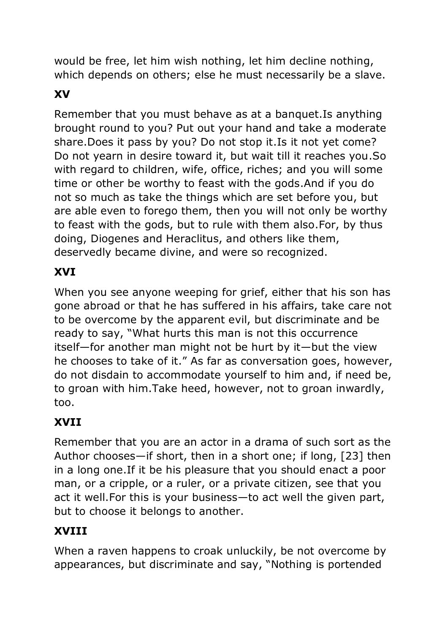would be free, let him wish nothing, let him decline nothing, which depends on others; else he must necessarily be a slave.

# **XV**

Remember that you must behave as at a banquet.Is anything brought round to you? Put out your hand and take a moderate share.Does it pass by you? Do not stop it.Is it not yet come? Do not yearn in desire toward it, but wait till it reaches you.So with regard to children, wife, office, riches; and you will some time or other be worthy to feast with the gods.And if you do not so much as take the things which are set before you, but are able even to forego them, then you will not only be worthy to feast with the gods, but to rule with them also.For, by thus doing, Diogenes and Heraclitus, and others like them, deservedly became divine, and were so recognized.

### **XVI**

When you see anyone weeping for grief, either that his son has gone abroad or that he has suffered in his affairs, take care not to be overcome by the apparent evil, but discriminate and be ready to say, "What hurts this man is not this occurrence itself—for another man might not be hurt by it—but the view he chooses to take of it." As far as conversation goes, however, do not disdain to accommodate yourself to him and, if need be, to groan with him.Take heed, however, not to groan inwardly, too.

## **XVII**

Remember that you are an actor in a drama of such sort as the Author chooses—if short, then in a short one; if long, [23] then in a long one.If it be his pleasure that you should enact a poor man, or a cripple, or a ruler, or a private citizen, see that you act it well.For this is your business—to act well the given part, but to choose it belongs to another.

### **XVIII**

When a raven happens to croak unluckily, be not overcome by appearances, but discriminate and say, "Nothing is portended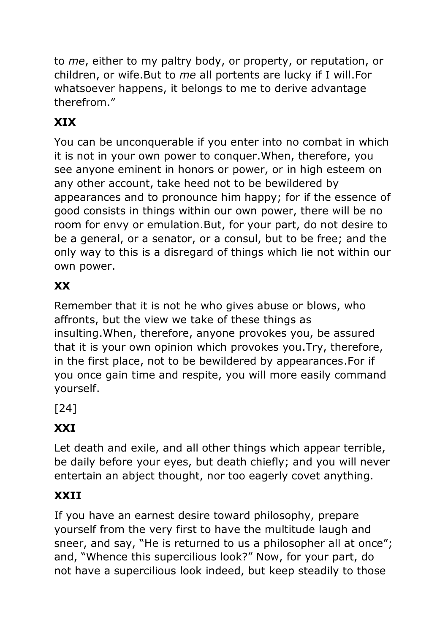to *me*, either to my paltry body, or property, or reputation, or children, or wife.But to *me* all portents are lucky if I will.For whatsoever happens, it belongs to me to derive advantage therefrom."

# **XIX**

You can be unconquerable if you enter into no combat in which it is not in your own power to conquer.When, therefore, you see anyone eminent in honors or power, or in high esteem on any other account, take heed not to be bewildered by appearances and to pronounce him happy; for if the essence of good consists in things within our own power, there will be no room for envy or emulation.But, for your part, do not desire to be a general, or a senator, or a consul, but to be free; and the only way to this is a disregard of things which lie not within our own power.

## **XX**

Remember that it is not he who gives abuse or blows, who affronts, but the view we take of these things as insulting.When, therefore, anyone provokes you, be assured that it is your own opinion which provokes you.Try, therefore, in the first place, not to be bewildered by appearances.For if you once gain time and respite, you will more easily command yourself.

[24]

## **XXI**

Let death and exile, and all other things which appear terrible, be daily before your eyes, but death chiefly; and you will never entertain an abject thought, nor too eagerly covet anything.

## **XXII**

If you have an earnest desire toward philosophy, prepare yourself from the very first to have the multitude laugh and sneer, and say, "He is returned to us a philosopher all at once"; and, "Whence this supercilious look?" Now, for your part, do not have a supercilious look indeed, but keep steadily to those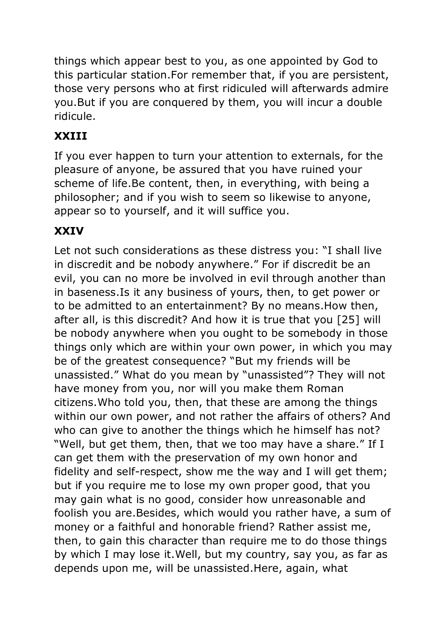things which appear best to you, as one appointed by God to this particular station.For remember that, if you are persistent, those very persons who at first ridiculed will afterwards admire you.But if you are conquered by them, you will incur a double ridicule.

## **XXIII**

If you ever happen to turn your attention to externals, for the pleasure of anyone, be assured that you have ruined your scheme of life.Be content, then, in everything, with being a philosopher; and if you wish to seem so likewise to anyone, appear so to yourself, and it will suffice you.

## **XXIV**

Let not such considerations as these distress you: "I shall live in discredit and be nobody anywhere." For if discredit be an evil, you can no more be involved in evil through another than in baseness.Is it any business of yours, then, to get power or to be admitted to an entertainment? By no means.How then, after all, is this discredit? And how it is true that you [25] will be nobody anywhere when you ought to be somebody in those things only which are within your own power, in which you may be of the greatest consequence? "But my friends will be unassisted." What do you mean by "unassisted"? They will not have money from you, nor will you make them Roman citizens.Who told you, then, that these are among the things within our own power, and not rather the affairs of others? And who can give to another the things which he himself has not? "Well, but get them, then, that we too may have a share." If I can get them with the preservation of my own honor and fidelity and self-respect, show me the way and I will get them; but if you require me to lose my own proper good, that you may gain what is no good, consider how unreasonable and foolish you are.Besides, which would you rather have, a sum of money or a faithful and honorable friend? Rather assist me, then, to gain this character than require me to do those things by which I may lose it.Well, but my country, say you, as far as depends upon me, will be unassisted.Here, again, what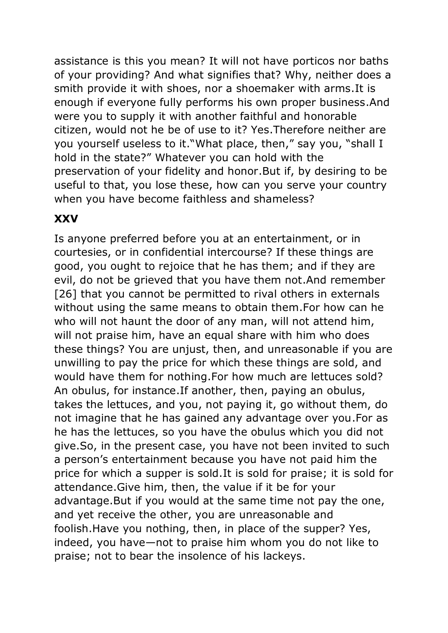assistance is this you mean? It will not have porticos nor baths of your providing? And what signifies that? Why, neither does a smith provide it with shoes, nor a shoemaker with arms.It is enough if everyone fully performs his own proper business.And were you to supply it with another faithful and honorable citizen, would not he be of use to it? Yes.Therefore neither are you yourself useless to it."What place, then," say you, "shall I hold in the state?" Whatever you can hold with the preservation of your fidelity and honor.But if, by desiring to be useful to that, you lose these, how can you serve your country when you have become faithless and shameless?

#### **XXV**

Is anyone preferred before you at an entertainment, or in courtesies, or in confidential intercourse? If these things are good, you ought to rejoice that he has them; and if they are evil, do not be grieved that you have them not.And remember [26] that you cannot be permitted to rival others in externals without using the same means to obtain them.For how can he who will not haunt the door of any man, will not attend him, will not praise him, have an equal share with him who does these things? You are unjust, then, and unreasonable if you are unwilling to pay the price for which these things are sold, and would have them for nothing.For how much are lettuces sold? An obulus, for instance.If another, then, paying an obulus, takes the lettuces, and you, not paying it, go without them, do not imagine that he has gained any advantage over you.For as he has the lettuces, so you have the obulus which you did not give.So, in the present case, you have not been invited to such a person's entertainment because you have not paid him the price for which a supper is sold.It is sold for praise; it is sold for attendance.Give him, then, the value if it be for your advantage.But if you would at the same time not pay the one, and yet receive the other, you are unreasonable and foolish.Have you nothing, then, in place of the supper? Yes, indeed, you have—not to praise him whom you do not like to praise; not to bear the insolence of his lackeys.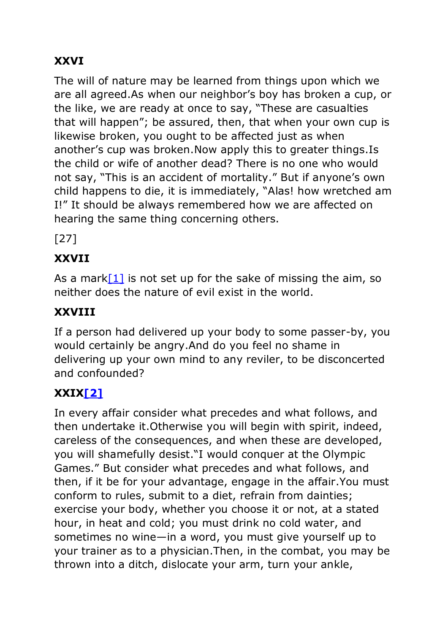## **XXVI**

The will of nature may be learned from things upon which we are all agreed.As when our neighbor's boy has broken a cup, or the like, we are ready at once to say, "These are casualties that will happen"; be assured, then, that when your own cup is likewise broken, you ought to be affected just as when another's cup was broken.Now apply this to greater things.Is the child or wife of another dead? There is no one who would not say, "This is an accident of mortality." But if anyone's own child happens to die, it is immediately, "Alas! how wretched am I!" It should be always remembered how we are affected on hearing the same thing concerning others.

[27]

## **XXVII**

As a mark  $[1]$  is not set up for the sake of missing the aim, so neither does the nature of evil exist in the world.

## **XXVIII**

If a person had delivered up your body to some passer-by, you would certainly be angry.And do you feel no shame in delivering up your own mind to any reviler, to be disconcerted and confounded?

## **XXI[X\[2\]](https://www.gutenberg.org/files/45109/45109-h/45109-h.htm#fn_2)**

In every affair consider what precedes and what follows, and then undertake it.Otherwise you will begin with spirit, indeed, careless of the consequences, and when these are developed, you will shamefully desist."I would conquer at the Olympic Games." But consider what precedes and what follows, and then, if it be for your advantage, engage in the affair.You must conform to rules, submit to a diet, refrain from dainties; exercise your body, whether you choose it or not, at a stated hour, in heat and cold; you must drink no cold water, and sometimes no wine—in a word, you must give yourself up to your trainer as to a physician.Then, in the combat, you may be thrown into a ditch, dislocate your arm, turn your ankle,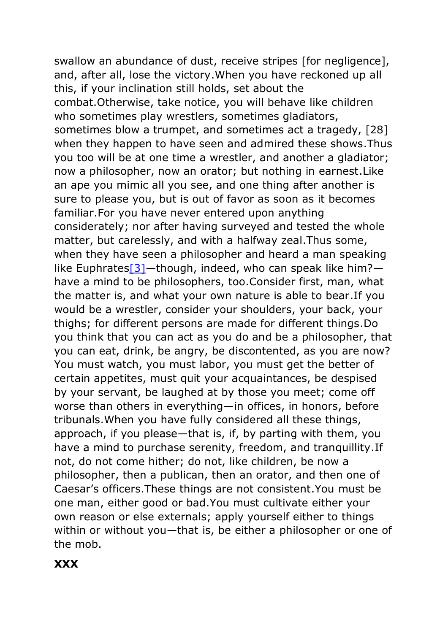swallow an abundance of dust, receive stripes [for negligence], and, after all, lose the victory.When you have reckoned up all this, if your inclination still holds, set about the combat.Otherwise, take notice, you will behave like children who sometimes play wrestlers, sometimes gladiators, sometimes blow a trumpet, and sometimes act a tragedy, [28] when they happen to have seen and admired these shows.Thus you too will be at one time a wrestler, and another a gladiator; now a philosopher, now an orator; but nothing in earnest.Like an ape you mimic all you see, and one thing after another is sure to please you, but is out of favor as soon as it becomes familiar.For you have never entered upon anything considerately; nor after having surveyed and tested the whole matter, but carelessly, and with a halfway zeal.Thus some, when they have seen a philosopher and heard a man speaking like Euphrates<sup>[3]</sup>—though, indeed, who can speak like him? have a mind to be philosophers, too.Consider first, man, what the matter is, and what your own nature is able to bear.If you would be a wrestler, consider your shoulders, your back, your thighs; for different persons are made for different things.Do you think that you can act as you do and be a philosopher, that you can eat, drink, be angry, be discontented, as you are now? You must watch, you must labor, you must get the better of certain appetites, must quit your acquaintances, be despised by your servant, be laughed at by those you meet; come off worse than others in everything—in offices, in honors, before tribunals.When you have fully considered all these things, approach, if you please—that is, if, by parting with them, you have a mind to purchase serenity, freedom, and tranquillity.If not, do not come hither; do not, like children, be now a philosopher, then a publican, then an orator, and then one of Caesar's officers.These things are not consistent.You must be one man, either good or bad.You must cultivate either your own reason or else externals; apply yourself either to things within or without you—that is, be either a philosopher or one of the mob.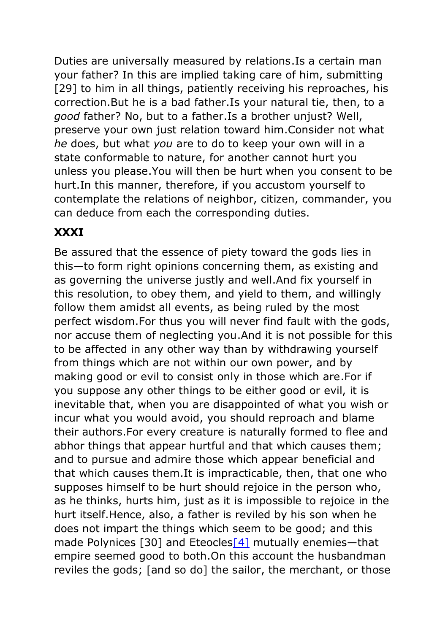Duties are universally measured by relations.Is a certain man your father? In this are implied taking care of him, submitting [29] to him in all things, patiently receiving his reproaches, his correction.But he is a bad father.Is your natural tie, then, to a *good* father? No, but to a father.Is a brother unjust? Well, preserve your own just relation toward him.Consider not what *he* does, but what *you* are to do to keep your own will in a state conformable to nature, for another cannot hurt you unless you please.You will then be hurt when you consent to be hurt.In this manner, therefore, if you accustom yourself to contemplate the relations of neighbor, citizen, commander, you can deduce from each the corresponding duties.

#### **XXXI**

Be assured that the essence of piety toward the gods lies in this—to form right opinions concerning them, as existing and as governing the universe justly and well.And fix yourself in this resolution, to obey them, and yield to them, and willingly follow them amidst all events, as being ruled by the most perfect wisdom.For thus you will never find fault with the gods, nor accuse them of neglecting you.And it is not possible for this to be affected in any other way than by withdrawing yourself from things which are not within our own power, and by making good or evil to consist only in those which are.For if you suppose any other things to be either good or evil, it is inevitable that, when you are disappointed of what you wish or incur what you would avoid, you should reproach and blame their authors.For every creature is naturally formed to flee and abhor things that appear hurtful and that which causes them; and to pursue and admire those which appear beneficial and that which causes them.It is impracticable, then, that one who supposes himself to be hurt should rejoice in the person who, as he thinks, hurts him, just as it is impossible to rejoice in the hurt itself.Hence, also, a father is reviled by his son when he does not impart the things which seem to be good; and this made Polynices [30] and Eteocles<sup>[4]</sup> mutually enemies—that empire seemed good to both.On this account the husbandman reviles the gods; [and so do] the sailor, the merchant, or those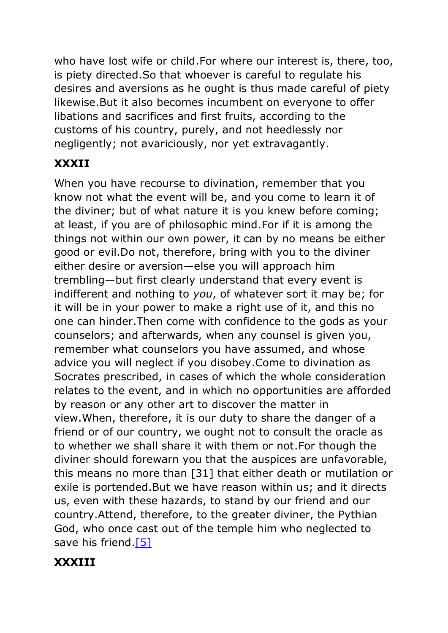who have lost wife or child.For where our interest is, there, too, is piety directed.So that whoever is careful to regulate his desires and aversions as he ought is thus made careful of piety likewise.But it also becomes incumbent on everyone to offer libations and sacrifices and first fruits, according to the customs of his country, purely, and not heedlessly nor negligently; not avariciously, nor yet extravagantly.

### **XXXII**

When you have recourse to divination, remember that you know not what the event will be, and you come to learn it of the diviner; but of what nature it is you knew before coming; at least, if you are of philosophic mind.For if it is among the things not within our own power, it can by no means be either good or evil.Do not, therefore, bring with you to the diviner either desire or aversion—else you will approach him trembling—but first clearly understand that every event is indifferent and nothing to *you*, of whatever sort it may be; for it will be in your power to make a right use of it, and this no one can hinder.Then come with confidence to the gods as your counselors; and afterwards, when any counsel is given you, remember what counselors you have assumed, and whose advice you will neglect if you disobey.Come to divination as Socrates prescribed, in cases of which the whole consideration relates to the event, and in which no opportunities are afforded by reason or any other art to discover the matter in view.When, therefore, it is our duty to share the danger of a friend or of our country, we ought not to consult the oracle as to whether we shall share it with them or not.For though the diviner should forewarn you that the auspices are unfavorable, this means no more than [31] that either death or mutilation or exile is portended.But we have reason within us; and it directs us, even with these hazards, to stand by our friend and our country.Attend, therefore, to the greater diviner, the Pythian God, who once cast out of the temple him who neglected to save his friend[.\[5\]](https://www.gutenberg.org/files/45109/45109-h/45109-h.htm#fn_5)

### **XXXIII**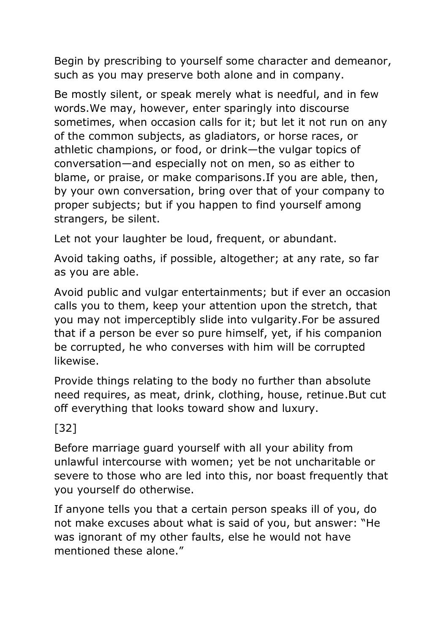Begin by prescribing to yourself some character and demeanor, such as you may preserve both alone and in company.

Be mostly silent, or speak merely what is needful, and in few words.We may, however, enter sparingly into discourse sometimes, when occasion calls for it; but let it not run on any of the common subjects, as gladiators, or horse races, or athletic champions, or food, or drink—the vulgar topics of conversation—and especially not on men, so as either to blame, or praise, or make comparisons.If you are able, then, by your own conversation, bring over that of your company to proper subjects; but if you happen to find yourself among strangers, be silent.

Let not your laughter be loud, frequent, or abundant.

Avoid taking oaths, if possible, altogether; at any rate, so far as you are able.

Avoid public and vulgar entertainments; but if ever an occasion calls you to them, keep your attention upon the stretch, that you may not imperceptibly slide into vulgarity.For be assured that if a person be ever so pure himself, yet, if his companion be corrupted, he who converses with him will be corrupted likewise.

Provide things relating to the body no further than absolute need requires, as meat, drink, clothing, house, retinue.But cut off everything that looks toward show and luxury.

### [32]

Before marriage guard yourself with all your ability from unlawful intercourse with women; yet be not uncharitable or severe to those who are led into this, nor boast frequently that you yourself do otherwise.

If anyone tells you that a certain person speaks ill of you, do not make excuses about what is said of you, but answer: "He was ignorant of my other faults, else he would not have mentioned these alone."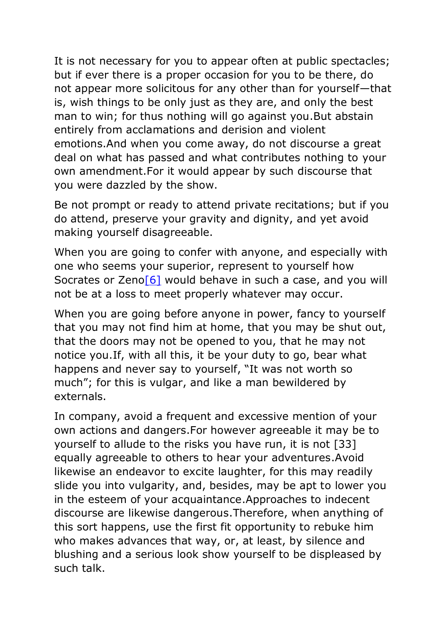It is not necessary for you to appear often at public spectacles; but if ever there is a proper occasion for you to be there, do not appear more solicitous for any other than for yourself—that is, wish things to be only just as they are, and only the best man to win; for thus nothing will go against you.But abstain entirely from acclamations and derision and violent emotions.And when you come away, do not discourse a great deal on what has passed and what contributes nothing to your own amendment.For it would appear by such discourse that you were dazzled by the show.

Be not prompt or ready to attend private recitations; but if you do attend, preserve your gravity and dignity, and yet avoid making yourself disagreeable.

When you are going to confer with anyone, and especially with one who seems your superior, represent to yourself how Socrates or Zeno<sup>[6]</sup> would behave in such a case, and you will not be at a loss to meet properly whatever may occur.

When you are going before anyone in power, fancy to yourself that you may not find him at home, that you may be shut out, that the doors may not be opened to you, that he may not notice you.If, with all this, it be your duty to go, bear what happens and never say to yourself, "It was not worth so much"; for this is vulgar, and like a man bewildered by externals.

In company, avoid a frequent and excessive mention of your own actions and dangers.For however agreeable it may be to yourself to allude to the risks you have run, it is not [33] equally agreeable to others to hear your adventures.Avoid likewise an endeavor to excite laughter, for this may readily slide you into vulgarity, and, besides, may be apt to lower you in the esteem of your acquaintance.Approaches to indecent discourse are likewise dangerous.Therefore, when anything of this sort happens, use the first fit opportunity to rebuke him who makes advances that way, or, at least, by silence and blushing and a serious look show yourself to be displeased by such talk.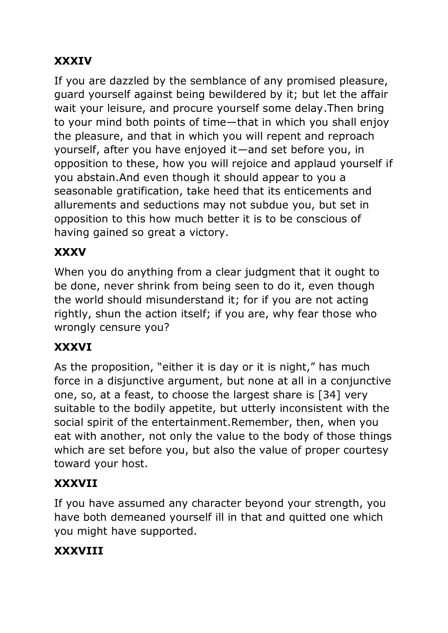## **XXXIV**

If you are dazzled by the semblance of any promised pleasure, guard yourself against being bewildered by it; but let the affair wait your leisure, and procure yourself some delay.Then bring to your mind both points of time—that in which you shall enjoy the pleasure, and that in which you will repent and reproach yourself, after you have enjoyed it—and set before you, in opposition to these, how you will rejoice and applaud yourself if you abstain.And even though it should appear to you a seasonable gratification, take heed that its enticements and allurements and seductions may not subdue you, but set in opposition to this how much better it is to be conscious of having gained so great a victory.

## **XXXV**

When you do anything from a clear judgment that it ought to be done, never shrink from being seen to do it, even though the world should misunderstand it; for if you are not acting rightly, shun the action itself; if you are, why fear those who wrongly censure you?

## **XXXVI**

As the proposition, "either it is day or it is night," has much force in a disjunctive argument, but none at all in a conjunctive one, so, at a feast, to choose the largest share is [34] very suitable to the bodily appetite, but utterly inconsistent with the social spirit of the entertainment.Remember, then, when you eat with another, not only the value to the body of those things which are set before you, but also the value of proper courtesy toward your host.

## **XXXVII**

If you have assumed any character beyond your strength, you have both demeaned yourself ill in that and quitted one which you might have supported.

# **XXXVIII**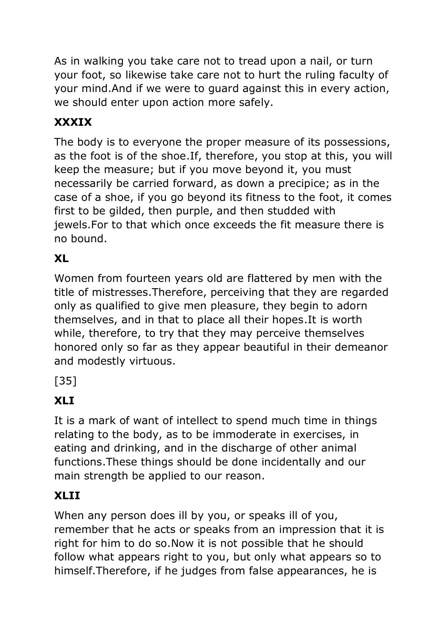As in walking you take care not to tread upon a nail, or turn your foot, so likewise take care not to hurt the ruling faculty of your mind.And if we were to guard against this in every action, we should enter upon action more safely.

## **XXXIX**

The body is to everyone the proper measure of its possessions, as the foot is of the shoe.If, therefore, you stop at this, you will keep the measure; but if you move beyond it, you must necessarily be carried forward, as down a precipice; as in the case of a shoe, if you go beyond its fitness to the foot, it comes first to be gilded, then purple, and then studded with jewels.For to that which once exceeds the fit measure there is no bound.

## **XL**

Women from fourteen years old are flattered by men with the title of mistresses.Therefore, perceiving that they are regarded only as qualified to give men pleasure, they begin to adorn themselves, and in that to place all their hopes.It is worth while, therefore, to try that they may perceive themselves honored only so far as they appear beautiful in their demeanor and modestly virtuous.

[35]

## **XLI**

It is a mark of want of intellect to spend much time in things relating to the body, as to be immoderate in exercises, in eating and drinking, and in the discharge of other animal functions.These things should be done incidentally and our main strength be applied to our reason.

### **XLII**

When any person does ill by you, or speaks ill of you, remember that he acts or speaks from an impression that it is right for him to do so.Now it is not possible that he should follow what appears right to you, but only what appears so to himself.Therefore, if he judges from false appearances, he is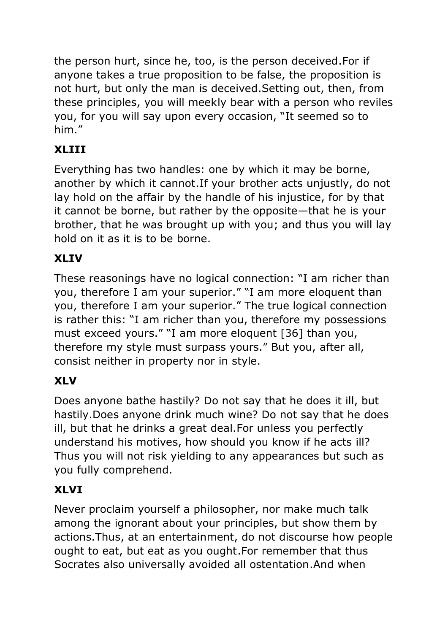the person hurt, since he, too, is the person deceived.For if anyone takes a true proposition to be false, the proposition is not hurt, but only the man is deceived.Setting out, then, from these principles, you will meekly bear with a person who reviles you, for you will say upon every occasion, "It seemed so to him."

## **XLIII**

Everything has two handles: one by which it may be borne, another by which it cannot.If your brother acts unjustly, do not lay hold on the affair by the handle of his injustice, for by that it cannot be borne, but rather by the opposite—that he is your brother, that he was brought up with you; and thus you will lay hold on it as it is to be borne.

### **XLIV**

These reasonings have no logical connection: "I am richer than you, therefore I am your superior." "I am more eloquent than you, therefore I am your superior." The true logical connection is rather this: "I am richer than you, therefore my possessions must exceed yours." "I am more eloquent [36] than you, therefore my style must surpass yours." But you, after all, consist neither in property nor in style.

### **XLV**

Does anyone bathe hastily? Do not say that he does it ill, but hastily.Does anyone drink much wine? Do not say that he does ill, but that he drinks a great deal.For unless you perfectly understand his motives, how should you know if he acts ill? Thus you will not risk yielding to any appearances but such as you fully comprehend.

## **XLVI**

Never proclaim yourself a philosopher, nor make much talk among the ignorant about your principles, but show them by actions.Thus, at an entertainment, do not discourse how people ought to eat, but eat as you ought.For remember that thus Socrates also universally avoided all ostentation.And when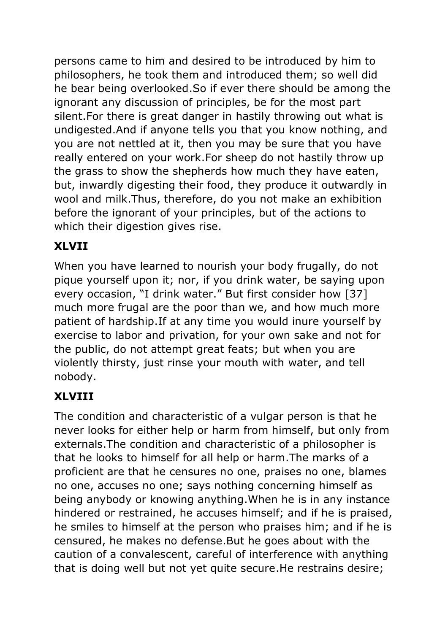persons came to him and desired to be introduced by him to philosophers, he took them and introduced them; so well did he bear being overlooked.So if ever there should be among the ignorant any discussion of principles, be for the most part silent.For there is great danger in hastily throwing out what is undigested.And if anyone tells you that you know nothing, and you are not nettled at it, then you may be sure that you have really entered on your work.For sheep do not hastily throw up the grass to show the shepherds how much they have eaten, but, inwardly digesting their food, they produce it outwardly in wool and milk.Thus, therefore, do you not make an exhibition before the ignorant of your principles, but of the actions to which their digestion gives rise.

### **XLVII**

When you have learned to nourish your body frugally, do not pique yourself upon it; nor, if you drink water, be saying upon every occasion, "I drink water." But first consider how [37] much more frugal are the poor than we, and how much more patient of hardship.If at any time you would inure yourself by exercise to labor and privation, for your own sake and not for the public, do not attempt great feats; but when you are violently thirsty, just rinse your mouth with water, and tell nobody.

## **XLVIII**

The condition and characteristic of a vulgar person is that he never looks for either help or harm from himself, but only from externals.The condition and characteristic of a philosopher is that he looks to himself for all help or harm.The marks of a proficient are that he censures no one, praises no one, blames no one, accuses no one; says nothing concerning himself as being anybody or knowing anything.When he is in any instance hindered or restrained, he accuses himself; and if he is praised, he smiles to himself at the person who praises him; and if he is censured, he makes no defense.But he goes about with the caution of a convalescent, careful of interference with anything that is doing well but not yet quite secure.He restrains desire;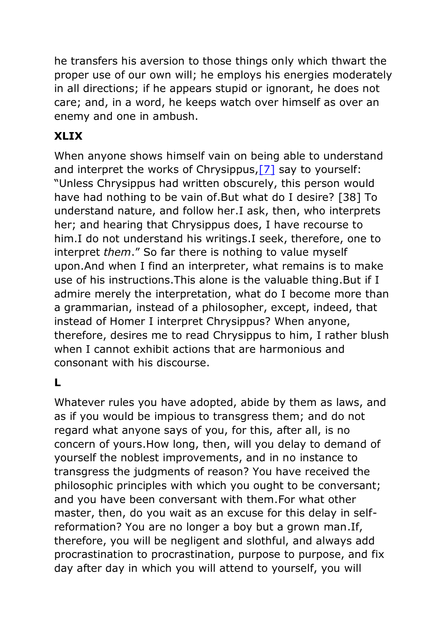he transfers his aversion to those things only which thwart the proper use of our own will; he employs his energies moderately in all directions; if he appears stupid or ignorant, he does not care; and, in a word, he keeps watch over himself as over an enemy and one in ambush.

### **XLIX**

When anyone shows himself vain on being able to understand and interpret the works of Chrysippus, [7] say to yourself: "Unless Chrysippus had written obscurely, this person would have had nothing to be vain of.But what do I desire? [38] To understand nature, and follow her.I ask, then, who interprets her; and hearing that Chrysippus does, I have recourse to him.I do not understand his writings.I seek, therefore, one to interpret *them*." So far there is nothing to value myself upon.And when I find an interpreter, what remains is to make use of his instructions.This alone is the valuable thing.But if I admire merely the interpretation, what do I become more than a grammarian, instead of a philosopher, except, indeed, that instead of Homer I interpret Chrysippus? When anyone, therefore, desires me to read Chrysippus to him, I rather blush when I cannot exhibit actions that are harmonious and consonant with his discourse.

### **L**

Whatever rules you have adopted, abide by them as laws, and as if you would be impious to transgress them; and do not regard what anyone says of you, for this, after all, is no concern of yours.How long, then, will you delay to demand of yourself the noblest improvements, and in no instance to transgress the judgments of reason? You have received the philosophic principles with which you ought to be conversant; and you have been conversant with them.For what other master, then, do you wait as an excuse for this delay in selfreformation? You are no longer a boy but a grown man.If, therefore, you will be negligent and slothful, and always add procrastination to procrastination, purpose to purpose, and fix day after day in which you will attend to yourself, you will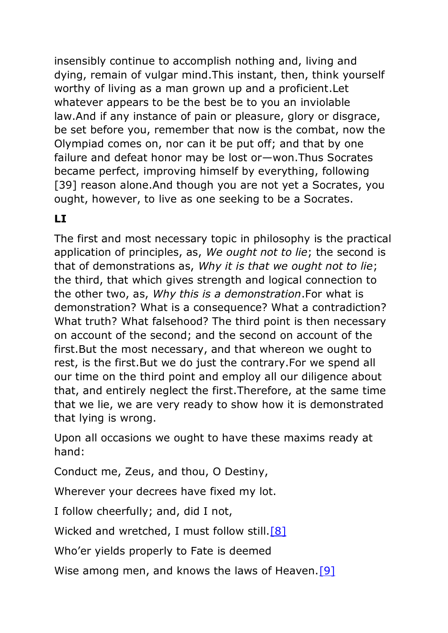insensibly continue to accomplish nothing and, living and dying, remain of vulgar mind.This instant, then, think yourself worthy of living as a man grown up and a proficient.Let whatever appears to be the best be to you an inviolable law.And if any instance of pain or pleasure, glory or disgrace, be set before you, remember that now is the combat, now the Olympiad comes on, nor can it be put off; and that by one failure and defeat honor may be lost or—won.Thus Socrates became perfect, improving himself by everything, following [39] reason alone. And though you are not yet a Socrates, you ought, however, to live as one seeking to be a Socrates.

#### **LI**

The first and most necessary topic in philosophy is the practical application of principles, as, *We ought not to lie*; the second is that of demonstrations as, *Why it is that we ought not to lie*; the third, that which gives strength and logical connection to the other two, as, *Why this is a demonstration*.For what is demonstration? What is a consequence? What a contradiction? What truth? What falsehood? The third point is then necessary on account of the second; and the second on account of the first.But the most necessary, and that whereon we ought to rest, is the first.But we do just the contrary.For we spend all our time on the third point and employ all our diligence about that, and entirely neglect the first.Therefore, at the same time that we lie, we are very ready to show how it is demonstrated that lying is wrong.

Upon all occasions we ought to have these maxims ready at hand:

Conduct me, Zeus, and thou, O Destiny,

Wherever your decrees have fixed my lot.

I follow cheerfully; and, did I not,

Wicked and wretched, I must follow still[.\[8\]](https://www.gutenberg.org/files/45109/45109-h/45109-h.htm#fn_8)

Who'er yields properly to Fate is deemed

Wise among men, and knows the laws of Heaven.<sup>[9]</sup>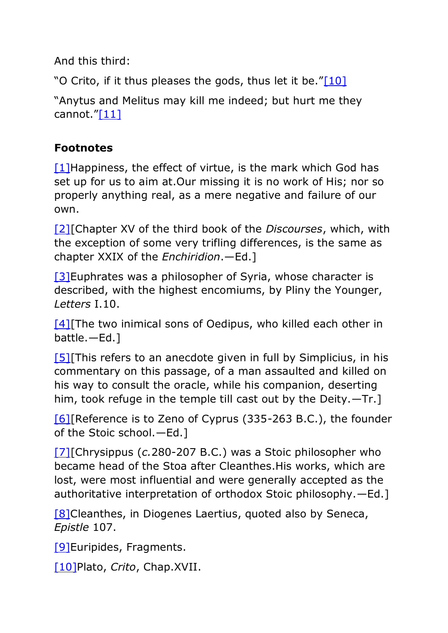And this third:

"O Crito, if it thus pleases the gods, thus let it be."[\[10\]](https://www.gutenberg.org/files/45109/45109-h/45109-h.htm#fn_10)

"Anytus and Melitus may kill me indeed; but hurt me they cannot."[\[11\]](https://www.gutenberg.org/files/45109/45109-h/45109-h.htm#fn_11)

#### **Footnotes**

 $[1]$ Happiness, the effect of virtue, is the mark which God has set up for us to aim at.Our missing it is no work of His; nor so properly anything real, as a mere negative and failure of our own.

[\[2\]\[](https://www.gutenberg.org/files/45109/45109-h/45109-h.htm#fr_2)Chapter XV of the third book of the *Discourses*, which, with the exception of some very trifling differences, is the same as chapter XXIX of the *Enchiridion*.—Ed.]

[\[3\]E](https://www.gutenberg.org/files/45109/45109-h/45109-h.htm#fr_3)uphrates was a philosopher of Syria, whose character is described, with the highest encomiums, by Pliny the Younger, *Letters* I.10.

[4] The two inimical sons of Oedipus, who killed each other in battle.—Ed.]

[\[5\]\[](https://www.gutenberg.org/files/45109/45109-h/45109-h.htm#fr_5)This refers to an anecdote given in full by Simplicius, in his commentary on this passage, of a man assaulted and killed on his way to consult the oracle, while his companion, deserting him, took refuge in the temple till cast out by the Deity.—Tr.]

[\[6\]\[](https://www.gutenberg.org/files/45109/45109-h/45109-h.htm#fr_6)Reference is to Zeno of Cyprus (335-263 B.C.), the founder of the Stoic school.—Ed.]

[\[7\]\[](https://www.gutenberg.org/files/45109/45109-h/45109-h.htm#fr_7)Chrysippus (*c.*280-207 B.C.) was a Stoic philosopher who became head of the Stoa after Cleanthes.His works, which are lost, were most influential and were generally accepted as the authoritative interpretation of orthodox Stoic philosophy.—Ed.]

[\[8\]C](https://www.gutenberg.org/files/45109/45109-h/45109-h.htm#fr_8)leanthes, in Diogenes Laertius, quoted also by Seneca, *Epistle* 107.

[\[9\]E](https://www.gutenberg.org/files/45109/45109-h/45109-h.htm#fr_9)uripides, Fragments.

[\[10\]P](https://www.gutenberg.org/files/45109/45109-h/45109-h.htm#fr_10)lato, *Crito*, Chap.XVII.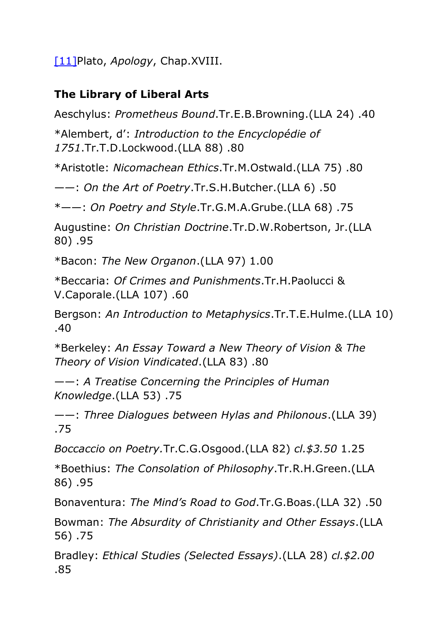[\[11\]P](https://www.gutenberg.org/files/45109/45109-h/45109-h.htm#fr_11)lato, *Apology*, Chap.XVIII.

#### **The Library of Liberal Arts**

Aeschylus: *Prometheus Bound*.Tr.E.B.Browning.(LLA 24) .40

\*Alembert, d': *Introduction to the Encyclopédie of 1751*.Tr.T.D.Lockwood.(LLA 88) .80

\*Aristotle: *Nicomachean Ethics*.Tr.M.Ostwald.(LLA 75) .80

——: *On the Art of Poetry*.Tr.S.H.Butcher.(LLA 6) .50

\*——: *On Poetry and Style*.Tr.G.M.A.Grube.(LLA 68) .75

Augustine: *On Christian Doctrine*.Tr.D.W.Robertson, Jr.(LLA 80) .95

\*Bacon: *The New Organon*.(LLA 97) 1.00

\*Beccaria: *Of Crimes and Punishments*.Tr.H.Paolucci & V.Caporale.(LLA 107) .60

Bergson: *An Introduction to Metaphysics*.Tr.T.E.Hulme.(LLA 10) .40

\*Berkeley: *An Essay Toward a New Theory of Vision & The Theory of Vision Vindicated*.(LLA 83) .80

——: *A Treatise Concerning the Principles of Human Knowledge*.(LLA 53) .75

——: *Three Dialogues between Hylas and Philonous*.(LLA 39) .75

*Boccaccio on Poetry.*Tr.C.G.Osgood.(LLA 82) *cl.\$3.50* 1.25

\*Boethius: *The Consolation of Philosophy*.Tr.R.H.Green.(LLA 86) .95

Bonaventura: *The Mind's Road to God*.Tr.G.Boas.(LLA 32) .50

Bowman: *The Absurdity of Christianity and Other Essays*.(LLA 56) .75

Bradley: *Ethical Studies (Selected Essays)*.(LLA 28) *cl.\$2.00* .85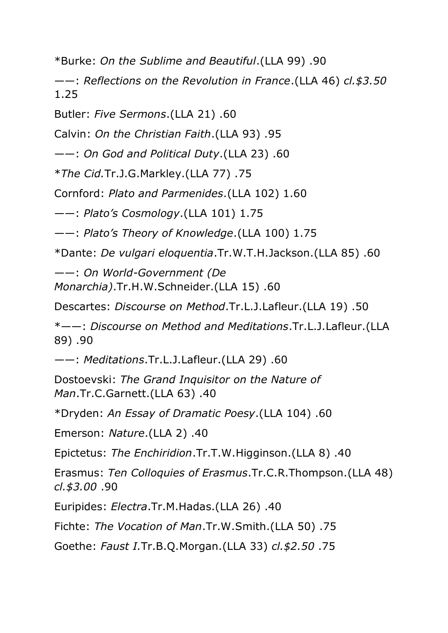\*Burke: *On the Sublime and Beautiful*.(LLA 99) .90

——: *Reflections on the Revolution in France*.(LLA 46) *cl.\$3.50* 1.25

Butler: *Five Sermons*.(LLA 21) .60

Calvin: *On the Christian Faith*.(LLA 93) .95

——: *On God and Political Duty*.(LLA 23) .60

\**The Cid.*Tr.J.G.Markley.(LLA 77) .75

Cornford: *Plato and Parmenides*.(LLA 102) 1.60

——: *Plato's Cosmology*.(LLA 101) 1.75

——: *Plato's Theory of Knowledge*.(LLA 100) 1.75

\*Dante: *De vulgari eloquentia*.Tr.W.T.H.Jackson.(LLA 85) .60

——: *On World-Government (De Monarchia)*.Tr.H.W.Schneider.(LLA 15) .60

Descartes: *Discourse on Method*.Tr.L.J.Lafleur.(LLA 19) .50

\*——: *Discourse on Method and Meditations*.Tr.L.J.Lafleur.(LLA 89) .90

——: *Meditations*.Tr.L.J.Lafleur.(LLA 29) .60

Dostoevski: *The Grand Inquisitor on the Nature of Man*.Tr.C.Garnett.(LLA 63) .40

\*Dryden: *An Essay of Dramatic Poesy*.(LLA 104) .60

Emerson: *Nature*.(LLA 2) .40

Epictetus: *The Enchiridion*.Tr.T.W.Higginson.(LLA 8) .40

Erasmus: *Ten Colloquies of Erasmus*.Tr.C.R.Thompson.(LLA 48) *cl.\$3.00* .90

Euripides: *Electra*.Tr.M.Hadas.(LLA 26) .40

Fichte: *The Vocation of Man*.Tr.W.Smith.(LLA 50) .75

Goethe: *Faust I.*Tr.B.Q.Morgan.(LLA 33) *cl.\$2.50* .75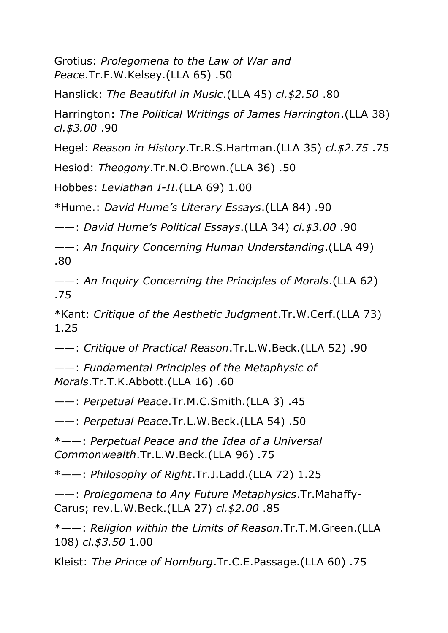Grotius: *Prolegomena to the Law of War and Peace*.Tr.F.W.Kelsey.(LLA 65) .50

Hanslick: *The Beautiful in Music*.(LLA 45) *cl.\$2.50* .80

Harrington: *The Political Writings of James Harrington*.(LLA 38) *cl.\$3.00* .90

Hegel: *Reason in History*.Tr.R.S.Hartman.(LLA 35) *cl.\$2.75* .75

Hesiod: *Theogony*.Tr.N.O.Brown.(LLA 36) .50

Hobbes: *Leviathan I-II*.(LLA 69) 1.00

\*Hume.: *David Hume's Literary Essays*.(LLA 84) .90

——: *David Hume's Political Essays*.(LLA 34) *cl.\$3.00* .90

——: *An Inquiry Concerning Human Understanding*.(LLA 49) .80

——: *An Inquiry Concerning the Principles of Morals*.(LLA 62) .75

\*Kant: *Critique of the Aesthetic Judgment*.Tr.W.Cerf.(LLA 73) 1.25

——: *Critique of Practical Reason*.Tr.L.W.Beck.(LLA 52) .90

——: *Fundamental Principles of the Metaphysic of Morals*.Tr.T.K.Abbott.(LLA 16) .60

——: *Perpetual Peace*.Tr.M.C.Smith.(LLA 3) .45

——: *Perpetual Peace*.Tr.L.W.Beck.(LLA 54) .50

\*——: *Perpetual Peace and the Idea of a Universal Commonwealth*.Tr.L.W.Beck.(LLA 96) .75

\*——: *Philosophy of Right*.Tr.J.Ladd.(LLA 72) 1.25

——: *Prolegomena to Any Future Metaphysics*.Tr.Mahaffy-Carus; rev.L.W.Beck.(LLA 27) *cl.\$2.00* .85

\*——: *Religion within the Limits of Reason*.Tr.T.M.Green.(LLA 108) *cl.\$3.50* 1.00

Kleist: *The Prince of Homburg*.Tr.C.E.Passage.(LLA 60) .75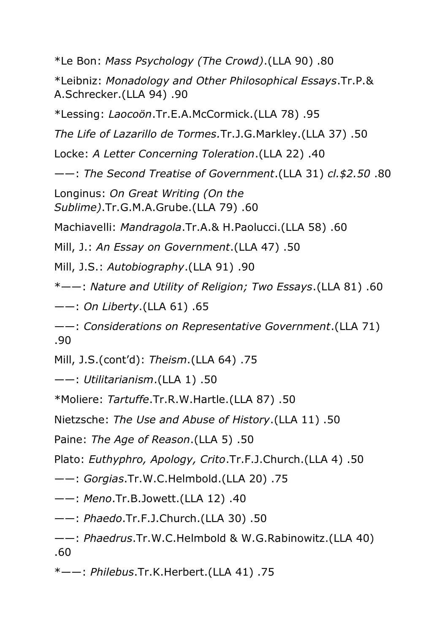\*Le Bon: *Mass Psychology (The Crowd)*.(LLA 90) .80

\*Leibniz: *Monadology and Other Philosophical Essays*.Tr.P.& A.Schrecker.(LLA 94) .90

\*Lessing: *Laocoön*.Tr.E.A.McCormick.(LLA 78) .95

*The Life of Lazarillo de Tormes.*Tr.J.G.Markley.(LLA 37) .50

Locke: *A Letter Concerning Toleration*.(LLA 22) .40

——: *The Second Treatise of Government*.(LLA 31) *cl.\$2.50* .80

Longinus: *On Great Writing (On the Sublime)*.Tr.G.M.A.Grube.(LLA 79) .60

Machiavelli: *Mandragola*.Tr.A.& H.Paolucci.(LLA 58) .60

Mill, J.: *An Essay on Government*.(LLA 47) .50

Mill, J.S.: *Autobiography*.(LLA 91) .90

\*——: *Nature and Utility of Religion; Two Essays*.(LLA 81) .60

——: *On Liberty*.(LLA 61) .65

——: *Considerations on Representative Government*.(LLA 71) .90

Mill, J.S.(cont'd): *Theism*.(LLA 64) .75

——: *Utilitarianism*.(LLA 1) .50

\*Moliere: *Tartuffe*.Tr.R.W.Hartle.(LLA 87) .50

Nietzsche: *The Use and Abuse of History*.(LLA 11) .50

Paine: *The Age of Reason*.(LLA 5) .50

Plato: *Euthyphro, Apology, Crito*.Tr.F.J.Church.(LLA 4) .50

——: *Gorgias*.Tr.W.C.Helmbold.(LLA 20) .75

——: *Meno*.Tr.B.Jowett.(LLA 12) .40

——: *Phaedo*.Tr.F.J.Church.(LLA 30) .50

——: *Phaedrus*.Tr.W.C.Helmbold & W.G.Rabinowitz.(LLA 40) .60

\*——: *Philebus*.Tr.K.Herbert.(LLA 41) .75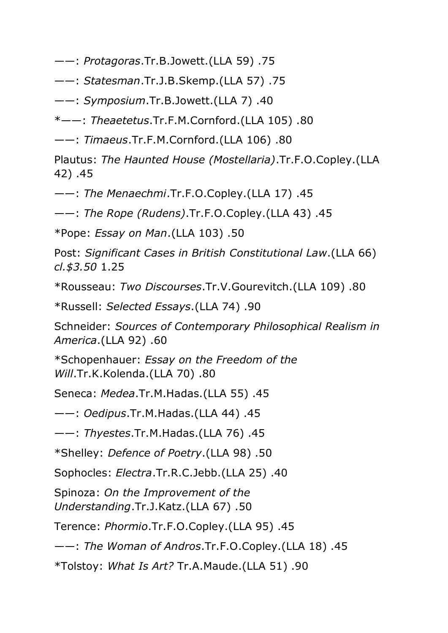- ——: *Protagoras*.Tr.B.Jowett.(LLA 59) .75
- ——: *Statesman*.Tr.J.B.Skemp.(LLA 57) .75
- ——: *Symposium*.Tr.B.Jowett.(LLA 7) .40

\*——: *Theaetetus*.Tr.F.M.Cornford.(LLA 105) .80

——: *Timaeus*.Tr.F.M.Cornford.(LLA 106) .80

Plautus: *The Haunted House (Mostellaria)*.Tr.F.O.Copley.(LLA 42) .45

——: *The Menaechmi*.Tr.F.O.Copley.(LLA 17) .45

——: *The Rope (Rudens)*.Tr.F.O.Copley.(LLA 43) .45

\*Pope: *Essay on Man*.(LLA 103) .50

Post: *Significant Cases in British Constitutional Law*.(LLA 66) *cl.\$3.50* 1.25

\*Rousseau: *Two Discourses*.Tr.V.Gourevitch.(LLA 109) .80

\*Russell: *Selected Essays*.(LLA 74) .90

Schneider: *Sources of Contemporary Philosophical Realism in America*.(LLA 92) .60

\*Schopenhauer: *Essay on the Freedom of the Will*.Tr.K.Kolenda.(LLA 70) .80

Seneca: *Medea*.Tr.M.Hadas.(LLA 55) .45

——: *Oedipus*.Tr.M.Hadas.(LLA 44) .45

——: *Thyestes*.Tr.M.Hadas.(LLA 76) .45

\*Shelley: *Defence of Poetry*.(LLA 98) .50

Sophocles: *Electra*.Tr.R.C.Jebb.(LLA 25) .40

Spinoza: *On the Improvement of the Understanding*.Tr.J.Katz.(LLA 67) .50

Terence: *Phormio*.Tr.F.O.Copley.(LLA 95) .45

——: *The Woman of Andros*.Tr.F.O.Copley.(LLA 18) .45

\*Tolstoy: *What Is Art?* Tr.A.Maude.(LLA 51) .90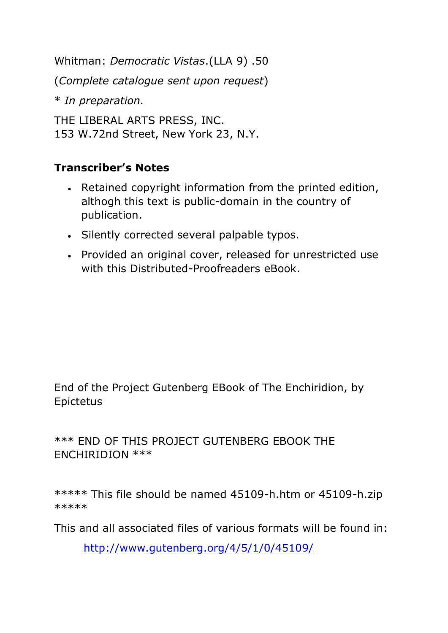Whitman: *Democratic Vistas*.(LLA 9) .50 (*Complete catalogue sent upon request*) \* *In preparation.* THE LIBERAL ARTS PRESS, INC. 153 W.72nd Street, New York 23, N.Y.

#### **Transcriber's Notes**

- Retained copyright information from the printed edition, althogh this text is public-domain in the country of publication.
- Silently corrected several palpable typos.
- Provided an original cover, released for unrestricted use with this Distributed-Proofreaders eBook.

End of the Project Gutenberg EBook of The Enchiridion, by Epictetus

\*\*\* END OF THIS PROJECT GUTENBERG EBOOK THE ENCHIRIDION \*\*\*

\*\*\*\*\* This file should be named 45109-h.htm or 45109-h.zip \*\*\*\*\*

This and all associated files of various formats will be found in:

<http://www.gutenberg.org/4/5/1/0/45109/>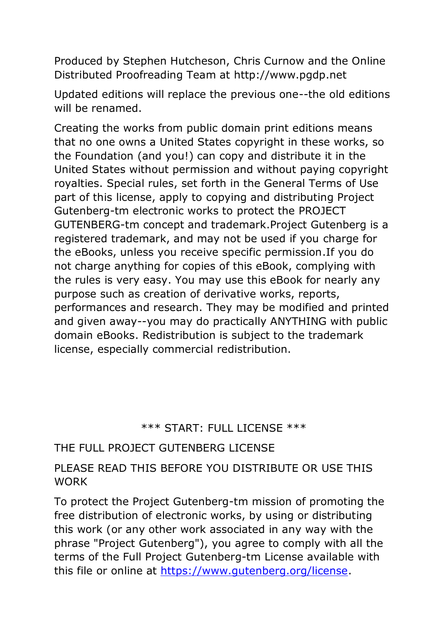Produced by Stephen Hutcheson, Chris Curnow and the Online Distributed Proofreading Team at http://www.pgdp.net

Updated editions will replace the previous one--the old editions will be renamed.

Creating the works from public domain print editions means that no one owns a United States copyright in these works, so the Foundation (and you!) can copy and distribute it in the United States without permission and without paying copyright royalties. Special rules, set forth in the General Terms of Use part of this license, apply to copying and distributing Project Gutenberg-tm electronic works to protect the PROJECT GUTENBERG-tm concept and trademark.Project Gutenberg is a registered trademark, and may not be used if you charge for the eBooks, unless you receive specific permission.If you do not charge anything for copies of this eBook, complying with the rules is very easy. You may use this eBook for nearly any purpose such as creation of derivative works, reports, performances and research. They may be modified and printed and given away--you may do practically ANYTHING with public domain eBooks. Redistribution is subject to the trademark license, especially commercial redistribution.

#### \*\*\* START: FULL LICENSE \*\*\*

#### THE FULL PROJECT GUTENBERG LICENSE

#### PLEASE READ THIS BEFORE YOU DISTRIBUTE OR USE THIS **WORK**

To protect the Project Gutenberg-tm mission of promoting the free distribution of electronic works, by using or distributing this work (or any other work associated in any way with the phrase "Project Gutenberg"), you agree to comply with all the terms of the Full Project Gutenberg-tm License available with this file or online at [https://www.gutenberg.org/license.](https://www.gutenberg.org/license)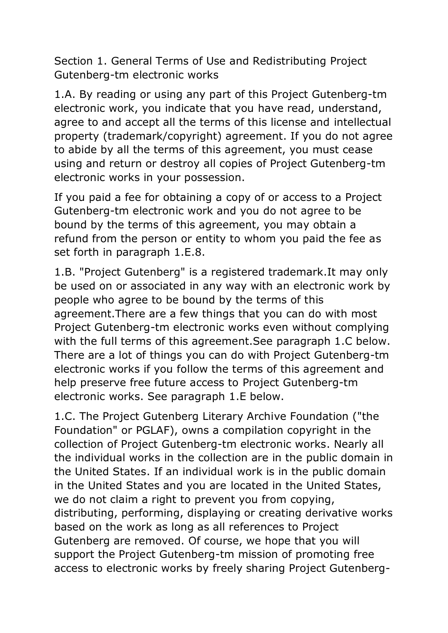Section 1. General Terms of Use and Redistributing Project Gutenberg-tm electronic works

1.A. By reading or using any part of this Project Gutenberg-tm electronic work, you indicate that you have read, understand, agree to and accept all the terms of this license and intellectual property (trademark/copyright) agreement. If you do not agree to abide by all the terms of this agreement, you must cease using and return or destroy all copies of Project Gutenberg-tm electronic works in your possession.

If you paid a fee for obtaining a copy of or access to a Project Gutenberg-tm electronic work and you do not agree to be bound by the terms of this agreement, you may obtain a refund from the person or entity to whom you paid the fee as set forth in paragraph 1.E.8.

1.B. "Project Gutenberg" is a registered trademark.It may only be used on or associated in any way with an electronic work by people who agree to be bound by the terms of this agreement.There are a few things that you can do with most Project Gutenberg-tm electronic works even without complying with the full terms of this agreement.See paragraph 1.C below. There are a lot of things you can do with Project Gutenberg-tm electronic works if you follow the terms of this agreement and help preserve free future access to Project Gutenberg-tm electronic works. See paragraph 1.E below.

1.C. The Project Gutenberg Literary Archive Foundation ("the Foundation" or PGLAF), owns a compilation copyright in the collection of Project Gutenberg-tm electronic works. Nearly all the individual works in the collection are in the public domain in the United States. If an individual work is in the public domain in the United States and you are located in the United States, we do not claim a right to prevent you from copying, distributing, performing, displaying or creating derivative works based on the work as long as all references to Project Gutenberg are removed. Of course, we hope that you will support the Project Gutenberg-tm mission of promoting free access to electronic works by freely sharing Project Gutenberg-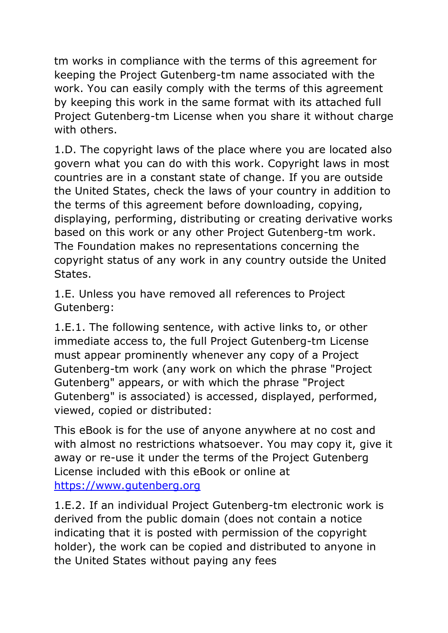tm works in compliance with the terms of this agreement for keeping the Project Gutenberg-tm name associated with the work. You can easily comply with the terms of this agreement by keeping this work in the same format with its attached full Project Gutenberg-tm License when you share it without charge with others.

1.D. The copyright laws of the place where you are located also govern what you can do with this work. Copyright laws in most countries are in a constant state of change. If you are outside the United States, check the laws of your country in addition to the terms of this agreement before downloading, copying, displaying, performing, distributing or creating derivative works based on this work or any other Project Gutenberg-tm work. The Foundation makes no representations concerning the copyright status of any work in any country outside the United States.

1.E. Unless you have removed all references to Project Gutenberg:

1.E.1. The following sentence, with active links to, or other immediate access to, the full Project Gutenberg-tm License must appear prominently whenever any copy of a Project Gutenberg-tm work (any work on which the phrase "Project Gutenberg" appears, or with which the phrase "Project Gutenberg" is associated) is accessed, displayed, performed, viewed, copied or distributed:

This eBook is for the use of anyone anywhere at no cost and with almost no restrictions whatsoever. You may copy it, give it away or re-use it under the terms of the Project Gutenberg License included with this eBook or online at [https://www.gutenberg.org](https://www.gutenberg.org/)

1.E.2. If an individual Project Gutenberg-tm electronic work is derived from the public domain (does not contain a notice indicating that it is posted with permission of the copyright holder), the work can be copied and distributed to anyone in the United States without paying any fees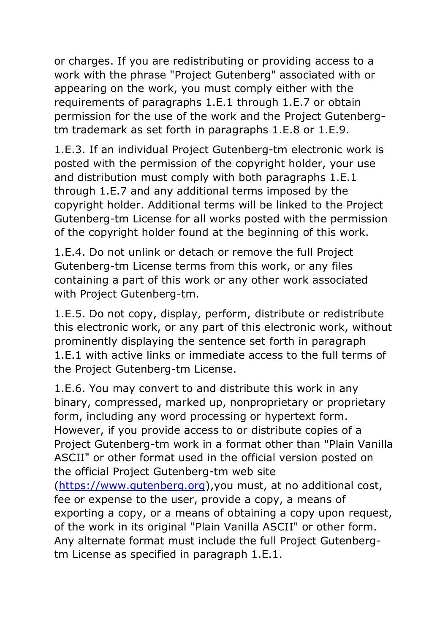or charges. If you are redistributing or providing access to a work with the phrase "Project Gutenberg" associated with or appearing on the work, you must comply either with the requirements of paragraphs 1.E.1 through 1.E.7 or obtain permission for the use of the work and the Project Gutenbergtm trademark as set forth in paragraphs 1.E.8 or 1.E.9.

1.E.3. If an individual Project Gutenberg-tm electronic work is posted with the permission of the copyright holder, your use and distribution must comply with both paragraphs 1.E.1 through 1.E.7 and any additional terms imposed by the copyright holder. Additional terms will be linked to the Project Gutenberg-tm License for all works posted with the permission of the copyright holder found at the beginning of this work.

1.E.4. Do not unlink or detach or remove the full Project Gutenberg-tm License terms from this work, or any files containing a part of this work or any other work associated with Project Gutenberg-tm.

1.E.5. Do not copy, display, perform, distribute or redistribute this electronic work, or any part of this electronic work, without prominently displaying the sentence set forth in paragraph 1.E.1 with active links or immediate access to the full terms of the Project Gutenberg-tm License.

1.E.6. You may convert to and distribute this work in any binary, compressed, marked up, nonproprietary or proprietary form, including any word processing or hypertext form. However, if you provide access to or distribute copies of a Project Gutenberg-tm work in a format other than "Plain Vanilla ASCII" or other format used in the official version posted on the official Project Gutenberg-tm web site [\(https://www.gutenberg.org\)](https://www.gutenberg.org/),you must, at no additional cost, fee or expense to the user, provide a copy, a means of exporting a copy, or a means of obtaining a copy upon request, of the work in its original "Plain Vanilla ASCII" or other form. Any alternate format must include the full Project Gutenbergtm License as specified in paragraph 1.E.1.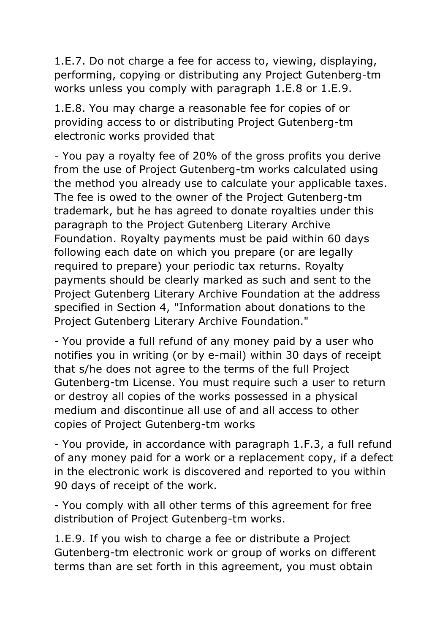1.E.7. Do not charge a fee for access to, viewing, displaying, performing, copying or distributing any Project Gutenberg-tm works unless you comply with paragraph 1.E.8 or 1.E.9.

1.E.8. You may charge a reasonable fee for copies of or providing access to or distributing Project Gutenberg-tm electronic works provided that

- You pay a royalty fee of 20% of the gross profits you derive from the use of Project Gutenberg-tm works calculated using the method you already use to calculate your applicable taxes. The fee is owed to the owner of the Project Gutenberg-tm trademark, but he has agreed to donate royalties under this paragraph to the Project Gutenberg Literary Archive Foundation. Royalty payments must be paid within 60 days following each date on which you prepare (or are legally required to prepare) your periodic tax returns. Royalty payments should be clearly marked as such and sent to the Project Gutenberg Literary Archive Foundation at the address specified in Section 4, "Information about donations to the Project Gutenberg Literary Archive Foundation."

- You provide a full refund of any money paid by a user who notifies you in writing (or by e-mail) within 30 days of receipt that s/he does not agree to the terms of the full Project Gutenberg-tm License. You must require such a user to return or destroy all copies of the works possessed in a physical medium and discontinue all use of and all access to other copies of Project Gutenberg-tm works

- You provide, in accordance with paragraph 1.F.3, a full refund of any money paid for a work or a replacement copy, if a defect in the electronic work is discovered and reported to you within 90 days of receipt of the work.

- You comply with all other terms of this agreement for free distribution of Project Gutenberg-tm works.

1.E.9. If you wish to charge a fee or distribute a Project Gutenberg-tm electronic work or group of works on different terms than are set forth in this agreement, you must obtain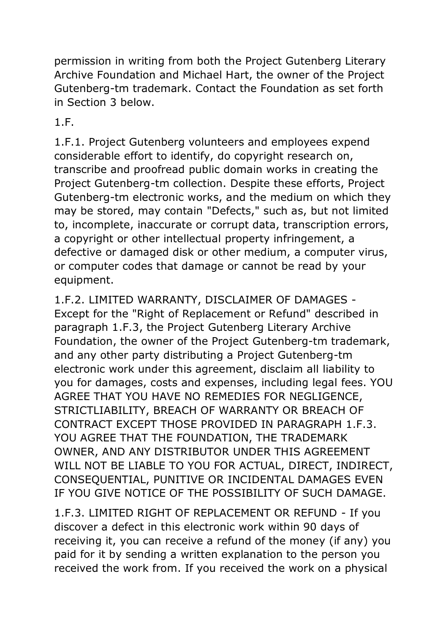permission in writing from both the Project Gutenberg Literary Archive Foundation and Michael Hart, the owner of the Project Gutenberg-tm trademark. Contact the Foundation as set forth in Section 3 below.

1.F.

1.F.1. Project Gutenberg volunteers and employees expend considerable effort to identify, do copyright research on, transcribe and proofread public domain works in creating the Project Gutenberg-tm collection. Despite these efforts, Project Gutenberg-tm electronic works, and the medium on which they may be stored, may contain "Defects," such as, but not limited to, incomplete, inaccurate or corrupt data, transcription errors, a copyright or other intellectual property infringement, a defective or damaged disk or other medium, a computer virus, or computer codes that damage or cannot be read by your equipment.

1.F.2. LIMITED WARRANTY, DISCLAIMER OF DAMAGES - Except for the "Right of Replacement or Refund" described in paragraph 1.F.3, the Project Gutenberg Literary Archive Foundation, the owner of the Project Gutenberg-tm trademark, and any other party distributing a Project Gutenberg-tm electronic work under this agreement, disclaim all liability to you for damages, costs and expenses, including legal fees. YOU AGREE THAT YOU HAVE NO REMEDIES FOR NEGLIGENCE, STRICTLIABILITY, BREACH OF WARRANTY OR BREACH OF CONTRACT EXCEPT THOSE PROVIDED IN PARAGRAPH 1.F.3. YOU AGREE THAT THE FOUNDATION, THE TRADEMARK OWNER, AND ANY DISTRIBUTOR UNDER THIS AGREEMENT WILL NOT BE LIABLE TO YOU FOR ACTUAL, DIRECT, INDIRECT, CONSEQUENTIAL, PUNITIVE OR INCIDENTAL DAMAGES EVEN IF YOU GIVE NOTICE OF THE POSSIBILITY OF SUCH DAMAGE.

1.F.3. LIMITED RIGHT OF REPLACEMENT OR REFUND - If you discover a defect in this electronic work within 90 days of receiving it, you can receive a refund of the money (if any) you paid for it by sending a written explanation to the person you received the work from. If you received the work on a physical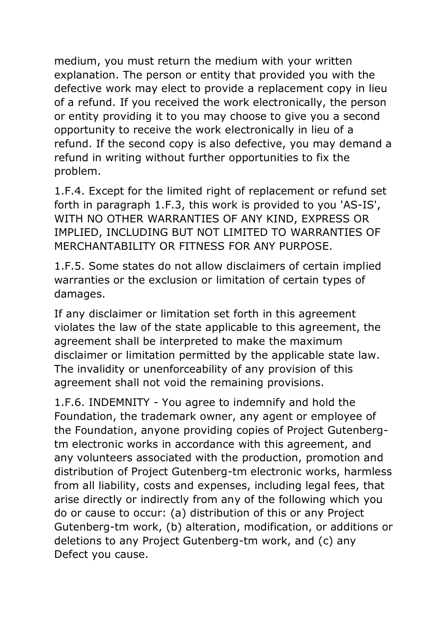medium, you must return the medium with your written explanation. The person or entity that provided you with the defective work may elect to provide a replacement copy in lieu of a refund. If you received the work electronically, the person or entity providing it to you may choose to give you a second opportunity to receive the work electronically in lieu of a refund. If the second copy is also defective, you may demand a refund in writing without further opportunities to fix the problem.

1.F.4. Except for the limited right of replacement or refund set forth in paragraph 1.F.3, this work is provided to you 'AS-IS', WITH NO OTHER WARRANTIES OF ANY KIND, EXPRESS OR IMPLIED, INCLUDING BUT NOT LIMITED TO WARRANTIES OF MERCHANTABILITY OR FITNESS FOR ANY PURPOSE.

1.F.5. Some states do not allow disclaimers of certain implied warranties or the exclusion or limitation of certain types of damages.

If any disclaimer or limitation set forth in this agreement violates the law of the state applicable to this agreement, the agreement shall be interpreted to make the maximum disclaimer or limitation permitted by the applicable state law. The invalidity or unenforceability of any provision of this agreement shall not void the remaining provisions.

1.F.6. INDEMNITY - You agree to indemnify and hold the Foundation, the trademark owner, any agent or employee of the Foundation, anyone providing copies of Project Gutenbergtm electronic works in accordance with this agreement, and any volunteers associated with the production, promotion and distribution of Project Gutenberg-tm electronic works, harmless from all liability, costs and expenses, including legal fees, that arise directly or indirectly from any of the following which you do or cause to occur: (a) distribution of this or any Project Gutenberg-tm work, (b) alteration, modification, or additions or deletions to any Project Gutenberg-tm work, and (c) any Defect you cause.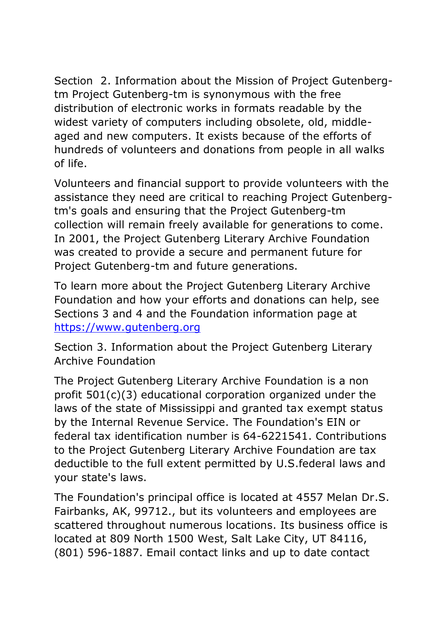Section 2. Information about the Mission of Project Gutenbergtm Project Gutenberg-tm is synonymous with the free distribution of electronic works in formats readable by the widest variety of computers including obsolete, old, middleaged and new computers. It exists because of the efforts of hundreds of volunteers and donations from people in all walks of life.

Volunteers and financial support to provide volunteers with the assistance they need are critical to reaching Project Gutenbergtm's goals and ensuring that the Project Gutenberg-tm collection will remain freely available for generations to come. In 2001, the Project Gutenberg Literary Archive Foundation was created to provide a secure and permanent future for Project Gutenberg-tm and future generations.

To learn more about the Project Gutenberg Literary Archive Foundation and how your efforts and donations can help, see Sections 3 and 4 and the Foundation information page at [https://www.gutenberg.org](https://www.gutenberg.org/)

Section 3. Information about the Project Gutenberg Literary Archive Foundation

The Project Gutenberg Literary Archive Foundation is a non profit 501(c)(3) educational corporation organized under the laws of the state of Mississippi and granted tax exempt status by the Internal Revenue Service. The Foundation's EIN or federal tax identification number is 64-6221541. Contributions to the Project Gutenberg Literary Archive Foundation are tax deductible to the full extent permitted by U.S.federal laws and your state's laws.

The Foundation's principal office is located at 4557 Melan Dr.S. Fairbanks, AK, 99712., but its volunteers and employees are scattered throughout numerous locations. Its business office is located at 809 North 1500 West, Salt Lake City, UT 84116, (801) 596-1887. Email contact links and up to date contact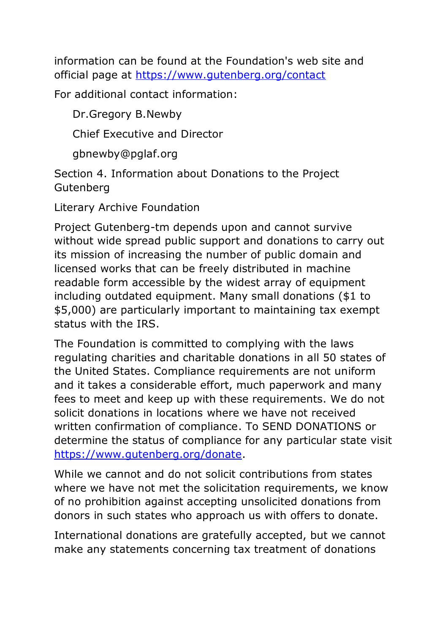information can be found at the Foundation's web site and official page at <https://www.gutenberg.org/contact>

For additional contact information:

Dr.Gregory B.Newby

Chief Executive and Director

gbnewby@pglaf.org

Section 4. Information about Donations to the Project Gutenberg

Literary Archive Foundation

Project Gutenberg-tm depends upon and cannot survive without wide spread public support and donations to carry out its mission of increasing the number of public domain and licensed works that can be freely distributed in machine readable form accessible by the widest array of equipment including outdated equipment. Many small donations (\$1 to \$5,000) are particularly important to maintaining tax exempt status with the IRS.

The Foundation is committed to complying with the laws regulating charities and charitable donations in all 50 states of the United States. Compliance requirements are not uniform and it takes a considerable effort, much paperwork and many fees to meet and keep up with these requirements. We do not solicit donations in locations where we have not received written confirmation of compliance. To SEND DONATIONS or determine the status of compliance for any particular state visit [https://www.gutenberg.org/donate.](https://www.gutenberg.org/donate)

While we cannot and do not solicit contributions from states where we have not met the solicitation requirements, we know of no prohibition against accepting unsolicited donations from donors in such states who approach us with offers to donate.

International donations are gratefully accepted, but we cannot make any statements concerning tax treatment of donations